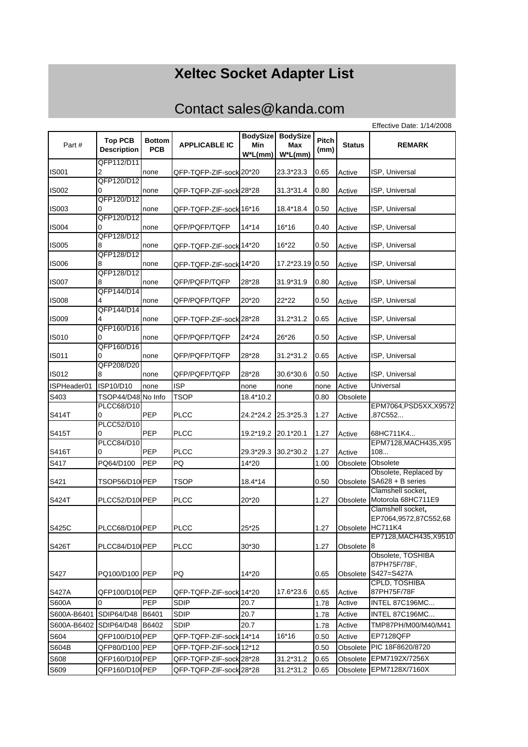## **Xeltec Socket Adapter List**

## Contact sales@kanda.com

|              |                                      |                             |                         |                                   |                                      |               |               | Effective Date: 1/14/2008                  |
|--------------|--------------------------------------|-----------------------------|-------------------------|-----------------------------------|--------------------------------------|---------------|---------------|--------------------------------------------|
| Part #       | <b>Top PCB</b><br><b>Description</b> | <b>Bottom</b><br><b>PCB</b> | <b>APPLICABLE IC</b>    | <b>BodySize</b><br>Min<br>W*L(mm) | <b>BodySize</b><br>Max<br>$W^*L(mm)$ | Pitch<br>(mm) | <b>Status</b> | <b>REMARK</b>                              |
|              | QFP112/D11                           |                             |                         |                                   |                                      |               |               |                                            |
| <b>IS001</b> | 2                                    | none                        | QFP-TQFP-ZIF-sock 20*20 |                                   | 23.3*23.3                            | 0.65          | Active        | ISP, Universal                             |
|              | QFP120/D12                           |                             |                         |                                   |                                      |               |               |                                            |
| <b>IS002</b> | 0                                    | none                        | QFP-TQFP-ZIF-sock 28*28 |                                   | 31.3*31.4                            | 0.80          | Active        | ISP, Universal                             |
|              | QFP120/D12                           |                             |                         |                                   |                                      |               |               |                                            |
| <b>IS003</b> | 0                                    | none                        | QFP-TQFP-ZIF-sock 16*16 |                                   | 18.4*18.4                            | 0.50          | Active        | ISP, Universal                             |
| <b>IS004</b> | QFP120/D12<br>0                      | none                        | QFP/PQFP/TQFP           | 14*14                             | 16*16                                | 0.40          |               | ISP, Universal                             |
|              | QFP128/D12                           |                             |                         |                                   |                                      |               | Active        |                                            |
| <b>IS005</b> | 8                                    | none                        | QFP-TQFP-ZIF-sock 14*20 |                                   | 16*22                                | 0.50          | Active        | ISP, Universal                             |
|              | QFP128/D12                           |                             |                         |                                   |                                      |               |               |                                            |
| <b>IS006</b> | 8                                    | none                        | QFP-TQFP-ZIF-sock 14*20 |                                   | 17.2*23.19                           | 0.50          | Active        | ISP, Universal                             |
|              | QFP128/D12                           |                             |                         |                                   |                                      |               |               |                                            |
| <b>IS007</b> | 8                                    | none                        | QFP/PQFP/TQFP           | 28*28                             | 31.9*31.9                            | 0.80          | Active        | ISP, Universal                             |
|              | QFP144/D14                           |                             |                         |                                   |                                      |               |               |                                            |
| <b>IS008</b> | 4                                    | none                        | QFP/PQFP/TQFP           | 20*20                             | 22*22                                | 0.50          | Active        | ISP, Universal                             |
| <b>IS009</b> | QFP144/D14<br>4                      | none                        | QFP-TQFP-ZIF-sock 28*28 |                                   | 31.2*31.2                            | 0.65          | Active        | ISP, Universal                             |
|              | QFP160/D16                           |                             |                         |                                   |                                      |               |               |                                            |
| <b>IS010</b> | 0                                    | none                        | QFP/PQFP/TQFP           | 24*24                             | 26*26                                | 0.50          | Active        | ISP, Universal                             |
|              | QFP160/D16                           |                             |                         |                                   |                                      |               |               |                                            |
| IS011        | 0                                    | none                        | QFP/PQFP/TQFP           | 28*28                             | 31.2*31.2                            | 0.65          | Active        | ISP, Universal                             |
|              | QFP208/D20                           |                             |                         |                                   |                                      |               |               |                                            |
| IS012        | 8                                    | none                        | QFP/PQFP/TQFP           | 28*28                             | 30.6*30.6                            | 0.50          | Active        | ISP, Universal                             |
| ISPHeader01  | ISP10/D10                            | none                        | <b>ISP</b>              | none                              | none                                 | none          | Active        | Universal                                  |
| S403         | TSOP44/D48 No Info                   |                             | <b>TSOP</b>             | 18.4*10.2                         |                                      | 0.80          | Obsolete      |                                            |
|              | PLCC68/D10                           |                             |                         |                                   |                                      |               |               | EPM7064, PSD5XX, X9572                     |
| S414T        | 0                                    | PEP                         | PLCC                    | 24.2*24.2                         | 25.3*25.3                            | 1.27          | Active        | .87C552                                    |
| S415T        | PLCC52/D10<br>0                      | PEP                         | <b>PLCC</b>             | 19.2*19.2                         | 20.1*20.1                            | 1.27          | Active        | 68HC711K4                                  |
|              | <b>PLCC84/D10</b>                    |                             |                         |                                   |                                      |               |               | EPM7128, MACH435, X95                      |
| S416T        | 10                                   | PEP                         | <b>PLCC</b>             | 29.3*29.3                         | 30.2*30.2                            | 1.27          | Active        | 108                                        |
| S417         | PQ64/D100                            | <b>PEP</b>                  | PQ                      | 14*20                             |                                      | 1.00          | Obsolete      | Obsolete                                   |
|              |                                      |                             |                         |                                   |                                      |               |               | Obsolete, Replaced by                      |
| S421         | TSOP56/D10 PEP                       |                             | TSOP                    | 18.4*14                           |                                      | 0.50          | Obsolete      | $SAG28 + B$ series                         |
|              |                                      |                             |                         |                                   |                                      |               |               | Clamshell socket,                          |
| S424T        | PLCC52/D10 PEP                       |                             | <b>PLCC</b>             | 20*20                             |                                      | 1.27          | Obsolete      | Motorola 68HC711E9                         |
|              |                                      |                             |                         |                                   |                                      |               |               | Clamshell socket,                          |
|              |                                      |                             |                         |                                   |                                      |               |               | EP7064.9572.87C552.68                      |
| S425C        | PLCC68/D10 PEP                       |                             | <b>PLCC</b>             | 25*25                             |                                      | 1.27          |               | Obsolete HC711K4<br>EP7128, MACH435, X9510 |
| S426T        | PLCC84/D10 PEP                       |                             | <b>PLCC</b>             | 30*30                             |                                      | 1.27          | Obsolete 8    |                                            |
|              |                                      |                             |                         |                                   |                                      |               |               | Obsolete, TOSHIBA                          |
|              |                                      |                             |                         |                                   |                                      |               |               | 87PH75F/78F,                               |
| S427         | PQ100/D100 PEP                       |                             | PQ                      | 14*20                             |                                      | 0.65          | Obsolete      | S427=S427A                                 |
|              |                                      |                             |                         |                                   |                                      |               |               | CPLD, TOSHIBA                              |
| <b>S427A</b> | QFP100/D100PEP                       |                             | QFP-TQFP-ZIF-sock 14*20 |                                   | 17.6*23.6                            | 0.65          | Active        | 87PH75F/78F                                |
| S600A        | 0                                    | PEP                         | SDIP                    | 20.7                              |                                      | 1.78          | Active        | INTEL 87C196MC                             |
| S600A-B6401  | SDIP64/D48                           | B6401                       | <b>SDIP</b>             | 20.7                              |                                      | 1.78          | Active        | INTEL 87C196MC                             |
| S600A-B6402  | SDIP64/D48 B6402                     |                             | <b>SDIP</b>             | 20.7                              |                                      | 1.78          | Active        | TMP87PH/M00/M40/M41                        |
| S604         | QFP100/D100PEP                       |                             | QFP-TQFP-ZIF-sock 14*14 |                                   | 16*16                                | 0.50          | Active        | EP7128QFP                                  |
| S604B        | QFP80/D100 PEP                       |                             | QFP-TQFP-ZIF-sock 12*12 |                                   |                                      | 0.50          | Obsolete      | PIC 18F8620/8720                           |
| S608         | QFP160/D100PEP                       |                             | QFP-TQFP-ZIF-sock 28*28 |                                   | 31.2*31.2                            | 0.65          | Obsolete      | EPM7192X/7256X                             |
| S609         | QFP160/D10 (PEP                      |                             | QFP-TQFP-ZIF-sock 28*28 |                                   | 31.2*31.2                            | 0.65          |               | Obsolete EPM7128X/7160X                    |
|              |                                      |                             |                         |                                   |                                      |               |               |                                            |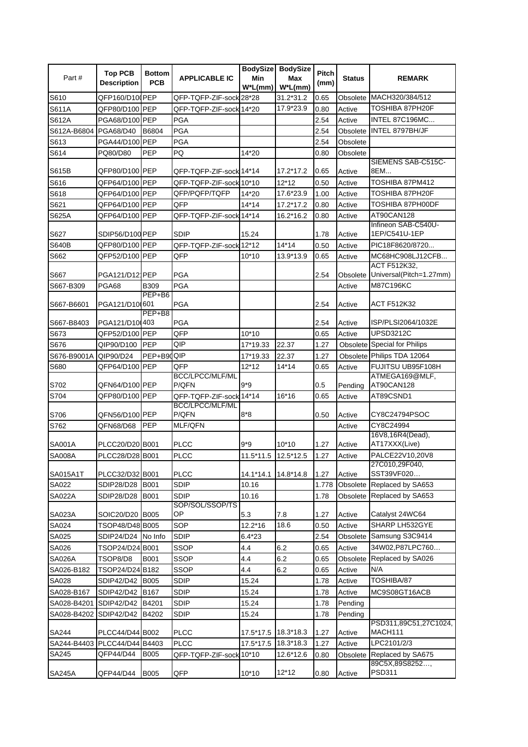| Part#               | <b>Top PCB</b><br><b>Description</b> | <b>Bottom</b><br><b>PCB</b> | <b>APPLICABLE IC</b>    | <b>BodySize</b><br>Min<br>$W^*L(mm)$ | <b>BodySize</b><br>Max<br>$W^*L(mm)$ | <b>Pitch</b><br>(mm) | <b>Status</b>      | <b>REMARK</b>                                                     |
|---------------------|--------------------------------------|-----------------------------|-------------------------|--------------------------------------|--------------------------------------|----------------------|--------------------|-------------------------------------------------------------------|
| S610                | QFP160/D10 PEP                       |                             | QFP-TQFP-ZIF-sock 28*28 |                                      | 31.2*31.2                            | 0.65                 | Obsolete           | MACH320/384/512                                                   |
| S611A               | QFP80/D100 PEP                       |                             | QFP-TQFP-ZIF-sock 14*20 |                                      | 17.9*23.9                            | 0.80                 | Active             | TOSHIBA 87PH20F                                                   |
| S612A               | PGA68/D100 PEP                       |                             | <b>PGA</b>              |                                      |                                      | 2.54                 | Active             | INTEL 87C196MC                                                    |
| S612A-B6804         | PGA68/D40                            | B6804                       | PGA                     |                                      |                                      | 2.54                 | Obsolete           | INTEL 8797BH/JF                                                   |
| S613                | PGA44/D100 PEP                       |                             | PGA                     |                                      |                                      | 2.54                 | Obsolete           |                                                                   |
| S614                | PQ80/D80                             | <b>PEP</b>                  | PQ                      | 14*20                                |                                      | 0.80                 | Obsolete           |                                                                   |
|                     |                                      |                             |                         |                                      |                                      |                      |                    | SIEMENS SAB-C515C-                                                |
| S615B               | QFP80/D100 PEP                       |                             | QFP-TQFP-ZIF-sock 14*14 |                                      | 17.2*17.2                            | 0.65                 | Active             | 8EM                                                               |
| S616                | QFP64/D100 PEP                       |                             | QFP-TQFP-ZIF-sock 10*10 |                                      | $12*12$                              | 0.50                 | Active             | TOSHIBA 87PM412                                                   |
| S618                | QFP64/D100 PEP                       |                             | QFP/PQFP/TQFP           | 14*20                                | 17.6*23.9                            | 1.00                 | Active             | TOSHIBA 87PH20F                                                   |
| S621                | QFP64/D100 PEP                       |                             | QFP                     | $14*14$                              | 17.2*17.2                            | 0.80                 | Active             | TOSHIBA 87PH00DF                                                  |
| S625A               | QFP64/D100 PEP                       |                             | QFP-TQFP-ZIF-sock 14*14 |                                      | 16.2*16.2                            | 0.80                 | Active             | AT90CAN128                                                        |
| S627                | SDIP56/D100 PEP                      |                             | SDIP                    | 15.24                                |                                      | 1.78                 | Active             | Infineon SAB-C540U-<br>1EP/C541U-1EP                              |
| <b>S640B</b>        | QFP80/D100 PEP                       |                             | QFP-TQFP-ZIF-sock       | 12*12                                | $14*14$                              | 0.50                 | Active             | PIC18F8620/8720                                                   |
| S662                | QFP52/D100 PEP                       |                             | QFP                     | 10*10                                | 13.9*13.9                            | 0.65                 | Active             | MC68HC908LJ12CFB                                                  |
|                     |                                      |                             |                         |                                      |                                      |                      |                    | ACT F512K32,                                                      |
| S667                | PGA121/D12 PEP                       |                             | <b>PGA</b>              |                                      |                                      | 2.54                 |                    | Obsolete Universal(Pitch=1.27mm)                                  |
| S667-B309           | PGA68                                | <b>B309</b>                 | <b>PGA</b>              |                                      |                                      |                      | Active             | M87C196KC                                                         |
| S667-B6601          | PGA121/D10(601                       | PEP+B6                      | <b>PGA</b>              |                                      |                                      | 2.54                 | Active             | <b>ACT F512K32</b>                                                |
|                     |                                      | PEP+B8                      |                         |                                      |                                      |                      |                    |                                                                   |
| S667-B8403          | PGA121/D10 403                       |                             | PGA                     |                                      |                                      | 2.54                 | Active             | ISP/PLSI2064/1032E<br><b>UPSD3212C</b>                            |
| S673                | QFP52/D100 PEP                       |                             | QFP<br>QIP              | $10*10$                              |                                      | 0.65                 | Active             |                                                                   |
| S676<br>S676-B9001A | QIP90/D100<br>QIP90/D24              | <b>PEP</b><br>PEP+B90QIP    |                         | 17*19.33<br>17*19.33                 | 22.37<br>22.37                       | 1.27<br>1.27         |                    | <b>Obsolete Special for Philips</b><br>Obsolete Philips TDA 12064 |
| S680                | QFP64/D100 PEP                       |                             | QFP                     | $12*12$                              | $14*14$                              | 0.65                 | Active             | FUJITSU UB95F108H                                                 |
|                     |                                      |                             | <b>BCC/LPCC/MLF/ML</b>  |                                      |                                      |                      |                    | ATMEGA169@MLF,                                                    |
| S702                | QFN64/D100 PEP                       |                             | P/QFN                   | $9*9$                                |                                      | 0.5                  | Pending            | AT90CAN128                                                        |
| S704                | QFP80/D100 PEP                       |                             | QFP-TQFP-ZIF-sock       | $14*14$                              | 16*16                                | 0.65                 | Active             | AT89CSND1                                                         |
|                     |                                      |                             | <b>BCC/LPCC/MLF/ML</b>  |                                      |                                      |                      |                    |                                                                   |
| S706                | QFN56/D100 PEP                       |                             | P/QFN                   | $8*8$                                |                                      | 0.50                 | Active             | CY8C24794PSOC                                                     |
| S762                | QFN68/D68                            | <b>PEP</b>                  | MLF/QFN                 |                                      |                                      |                      | Active             | CY8C24994                                                         |
| <b>SA001A</b>       | PLCC20/D20 B001                      |                             | <b>PLCC</b>             | $9*9$                                | $10*10$                              | 1.27                 | Active             | 16V8,16R4(Dead),<br>AT17XXX(Live)                                 |
| <b>SA008A</b>       | PLCC28/D28 B001                      |                             | <b>PLCC</b>             | 11.5*11.5 12.5*12.5                  |                                      | 1.27                 | Active             | PALCE22V10,20V8                                                   |
| SA015A1T            | PLCC32/D32 B001                      |                             | <b>PLCC</b>             | 14.1*14.1                            | 14.8*14.8                            | 1.27                 | Active             | 27C010,29F040,<br>SST39VF020                                      |
| SA022               | SDIP28/D28 B001                      |                             | <b>SDIP</b>             | 10.16                                |                                      | 1.778                | Obsolete           | Replaced by SA653                                                 |
| <b>SA022A</b>       | SDIP28/D28                           | <b>B001</b>                 | <b>SDIP</b>             | 10.16                                |                                      | 1.78                 |                    | Obsolete Replaced by SA653                                        |
| <b>SA023A</b>       | SOIC20/D20 B005                      |                             | SOP/SOL/SSOP/TS<br>ОP   | 5.3                                  | 7.8                                  | 1.27                 | Active             | Catalyst 24WC64                                                   |
| SA024               | TSOP48/D48 B005                      |                             | SOP                     | 12.2*16                              | 18.6                                 | 0.50                 | Active             | SHARP LH532GYE                                                    |
| SA025               | SDIP24/D24 No Info                   |                             | <b>SDIP</b>             | $6.4*23$                             |                                      | 2.54                 | Obsolete           | Samsung S3C9414                                                   |
| SA026               | TSOP24/D24 B001                      |                             | SSOP                    | 4.4                                  | 6.2                                  | 0.65                 | Active             | 34W02, P87LPC760                                                  |
| <b>SA026A</b>       | TSOP8/D8                             | <b>B001</b>                 | SSOP                    | 4.4                                  | 6.2                                  | 0.65                 |                    | Replaced by SA026                                                 |
| SA026-B182          | TSOP24/D24 B182                      |                             | SSOP                    | 4.4                                  | 6.2                                  | 0.65                 | Obsolete<br>Active | N/A                                                               |
| SA028               | SDIP42/D42                           |                             | <b>SDIP</b>             | 15.24                                |                                      | 1.78                 | Active             | TOSHIBA/87                                                        |
| SA028-B167          | SDIP42/D42 B167                      | <b>B005</b>                 | <b>SDIP</b>             | 15.24                                |                                      | 1.78                 | Active             | MC9S08GT16ACB                                                     |
| SA028-B4201         | SDIP42/D42 B4201                     |                             | <b>SDIP</b>             | 15.24                                |                                      | 1.78                 | Pending            |                                                                   |
| SA028-B4202         | SDIP42/D42                           | B4202                       | <b>SDIP</b>             | 15.24                                |                                      | 1.78                 | Pending            |                                                                   |
|                     |                                      |                             |                         |                                      |                                      |                      |                    | PSD311,89C51,27C1024,                                             |
| SA244               | PLCC44/D44 B002                      |                             | <b>PLCC</b>             | 17.5*17.5                            | 18.3*18.3                            | 1.27                 | Active             | MACH111                                                           |
| SA244-B4403         | PLCC44/D44 B4403                     |                             | <b>PLCC</b>             | 17.5*17.5                            | 18.3*18.3                            | 1.27                 | Active             | LPC2101/2/3                                                       |
| SA245               | QFP44/D44                            | <b>B005</b>                 | QFP-TQFP-ZIF-sock 10*10 |                                      | 12.6*12.6                            | 0.80                 | Obsolete           | Replaced by SA675                                                 |
| <b>SA245A</b>       | QFP44/D44                            | <b>B005</b>                 | QFP                     | $10*10$                              | $12*12$                              | 0.80                 | Active             | 89C5X,89S8252,<br>PSD311                                          |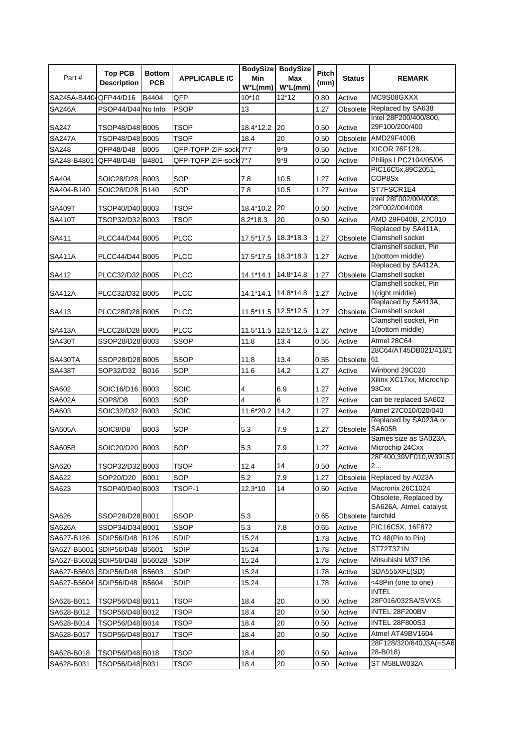| Part #                 | <b>Top PCB</b><br><b>Description</b> | <b>Bottom</b><br><b>PCB</b> | <b>APPLICABLE IC</b>  | Min<br>$W^*L(mm)$ | BodySize BodySize<br><b>Max</b><br>$W^*L(mm)$ | Pitch<br>(mm) | <b>Status</b>          | <b>REMARK</b>                                                         |
|------------------------|--------------------------------------|-----------------------------|-----------------------|-------------------|-----------------------------------------------|---------------|------------------------|-----------------------------------------------------------------------|
| SA245A-B4404 QFP44/D16 |                                      | B4404                       | QFP                   | $10*10$           | $12*12$                                       | 0.80          | Active                 | MC9S08GXXX                                                            |
| <b>SA246A</b>          | PSOP44/D44 No Info                   |                             | <b>PSOP</b>           | 13                |                                               | 1.27          |                        | Obsolete Replaced by SA638                                            |
| SA247                  | TSOP48/D48 B005                      |                             | <b>TSOP</b>           | 18.4*12.2         | 20                                            | 0.50          | Active                 | Intel 28F200/400/800,<br>29F100/200/400                               |
| <b>SA247A</b>          | TSOP48/D48 B005                      |                             | <b>TSOP</b>           | 18.4              | 20                                            | 0.50          | Obsolete               | AMD29F400B                                                            |
| SA248                  | QFP48/D48                            | <b>B005</b>                 | QFP-TQFP-ZIF-sock 7*7 |                   | $9*9$                                         | 0.50          | Active                 | XICOR 76F128                                                          |
| SA248-B4801            | QFP48/D48                            | B4801                       | QFP-TQFP-ZIF-sock 7*7 |                   | $9*9$                                         | 0.50          | Active                 | Philips LPC2104/05/06                                                 |
| SA404                  | SOIC28/D28                           | <b>B003</b>                 | SOP                   | 7.8               | 10.5                                          | 1.27          | Active                 | PIC16C5x,89C2051,<br>COP8Sx                                           |
| SA404-B140             | SOIC28/D28                           | B140                        | SOP                   | 7.8               | 10.5                                          | 1.27          | Active                 | ST7FSCR1E4                                                            |
|                        |                                      |                             |                       |                   |                                               |               |                        | Intel 28F002/004/008,                                                 |
| <b>SA409T</b>          | TSOP40/D40 B003                      |                             | <b>TSOP</b>           | 18.4*10.2         | 20                                            | 0.50          | Active                 | 29F002/004/008                                                        |
| <b>SA410T</b>          | TSOP32/D32 B003                      |                             | TSOP                  | 8.2*18.3          | 20                                            | 0.50          | Active                 | AMD 29F040B, 27C010<br>Replaced by SA411A,                            |
| SA411                  | PLCC44/D44 B005                      |                             | <b>PLCC</b>           | 17.5*17.5         | 18.3*18.3                                     | 1.27          | Obsolete               | <b>Clamshell socket</b><br>Clamshell socket, Pin                      |
| <b>SA411A</b>          | PLCC44/D44 B005                      |                             | <b>PLCC</b>           | 17.5*17.5         | 18.3*18.3                                     | 1.27          | Active                 | 1(bottom middle)<br>Replaced by SA412A,                               |
| SA412                  | PLCC32/D32 B005                      |                             | <b>PLCC</b>           | 14.1*14.1         | 14.8*14.8                                     | 1.27          |                        | Obsolete Clamshell socket<br>Clamshell socket, Pin                    |
| <b>SA412A</b>          | PLCC32/D32 B005                      |                             | <b>PLCC</b>           | 14.1*14.1         | 14.8*14.8                                     | 1.27          | Active                 | 1(right middle)<br>Replaced by SA413A,                                |
| SA413                  | PLCC28/D28 B005                      |                             | <b>PLCC</b>           | 11.5*11.5         | 12.5*12.5                                     | 1.27          | Obsolete               | <b>Clamshell socket</b>                                               |
| SA413A                 | PLCC28/D28 B005                      |                             | <b>PLCC</b>           | 11.5*11.5         | 12.5*12.5                                     | 1.27          | Active                 | Clamshell socket, Pin<br>1(bottom middle)                             |
| <b>SA430T</b>          | SSOP28/D28 B003                      |                             | <b>SSOP</b>           | 11.8              | 13.4                                          | 0.55          | Active                 | Atmel 28C64                                                           |
|                        |                                      |                             |                       |                   |                                               |               | Obsolete <sup>61</sup> | 28C64/AT45DB021/418/1                                                 |
| SA430TA                | SSOP28/D28 B005                      |                             | <b>SSOP</b><br>SOP    | 11.8<br>11.6      | 13.4<br>14.2                                  | 0.55<br>1.27  | Active                 | Winbond 29C020                                                        |
| <b>SA438T</b>          | SOP32/D32                            | B016                        |                       |                   |                                               |               |                        | Xilinx XC17xx, Microchip                                              |
| SA602                  | SOIC16/D16                           | <b>B003</b>                 | SOIC                  | 4                 | 6.9                                           | 1.27          | Active                 | 93Cxx                                                                 |
| SA602A                 | SOP8/D8                              | <b>B003</b>                 | SOP                   | 4                 | 6                                             | 1.27          | Active                 | can be replaced SA602                                                 |
| SA603                  | SOIC32/D32                           | <b>B003</b>                 | SOIC                  | 11.6*20.2         | 14.2                                          | 1.27          | Active                 | Atmel 27C010/020/040                                                  |
| <b>SA605A</b>          | SOIC8/D8                             | B003                        | SOP                   | 5.3               | 7.9                                           | 1.27          | Obsolete               | Replaced by SA023A or<br><b>SA605B</b>                                |
|                        |                                      |                             |                       |                   |                                               |               |                        | Sames size as SA023A,                                                 |
| <b>SA605B</b>          | SOIC20/D20                           | <b>B003</b>                 | SOP                   | 5.3               | 7.9                                           | 1.27          | Active                 | Microchip 24Cxx<br>28F400,39VF010, W39L51                             |
| SA620                  | TSOP32/D32 B003                      |                             | <b>TSOP</b>           | 12.4              | 14                                            | 0.50          | Active                 | 2                                                                     |
| SA622                  | SOP20/D20                            | <b>B001</b>                 | SOP                   | 5.2               | 7.9                                           | 1.27          | Obsolete               | Replaced by A023A                                                     |
| SA623                  | TSOP40/D40 B003                      |                             | TSOP-1                | 12.3*10           | 14                                            | 0.50          | Active                 | Macronix 26C1024<br>Obsolete, Replaced by<br>SA626A, Atmel, catalyst, |
| SA626                  | SSOP28/D28 B001                      |                             | <b>SSOP</b>           | 5.3               |                                               | 0.65          | Obsolete fairchild     |                                                                       |
| SA626A                 | SSOP34/D34 B001                      |                             | SSOP                  | 5.3               | 7.8                                           | 0.65          | Active                 | PIC16C5X, 16F872                                                      |
| SA627-B126             | SDIP56/D48                           | B126                        | <b>SDIP</b>           | 15.24             |                                               | 1.78          | Active                 | TO 48(Pin to Pin)                                                     |
| SA627-B5601            | SDIP56/D48                           | B5601                       | SDIP                  | 15.24             |                                               | 1.78          | Active                 | ST72T371N                                                             |
| SA627-B5602ESDIP56/D48 |                                      | <b>B5602B</b>               | <b>SDIP</b>           | 15.24             |                                               | 1.78          | Active                 | Mitsubishi M37136                                                     |
| SA627-B5603 SDIP56/D48 |                                      | B5603                       | <b>SDIP</b>           | 15.24             |                                               | 1.78          | Active                 | SDA555XFL(SD)                                                         |
| SA627-B5604            | <b>SDIP56/D48</b>                    | B5604                       | <b>SDIP</b>           | 15.24             |                                               | 1.78          | Active                 | <48Pin (one to one)<br><b>INTEL</b>                                   |
| SA628-B011             | TSOP56/D48 B011                      |                             | TSOP                  | 18.4              | 20                                            | 0.50          | Active                 | 28F016/032SA/SV/XS                                                    |
| SA628-B012             | TSOP56/D48 B012                      |                             | TSOP                  | 18.4              | 20                                            | 0.50          | Active                 | INTEL 28F200BV                                                        |
| SA628-B014             | TSOP56/D48 B014                      |                             | TSOP                  | 18.4              | 20                                            | 0.50          | Active                 | <b>INTEL 28F800S3</b>                                                 |
| SA628-B017             | TSOP56/D48 B017                      |                             | TSOP                  | 18.4              | 20                                            | 0.50          | Active                 | Atmel AT49BV1604<br>28F128/320/640J3A(=SA6                            |
| SA628-B018             | TSOP56/D48 B018                      |                             | TSOP                  | 18.4              | 20                                            | 0.50          | Active                 | 28-B018)                                                              |
| SA628-B031             | TSOP56/D48 B031                      |                             | TSOP                  | 18.4              | 20                                            | 0.50          | Active                 | ST M58LW032A                                                          |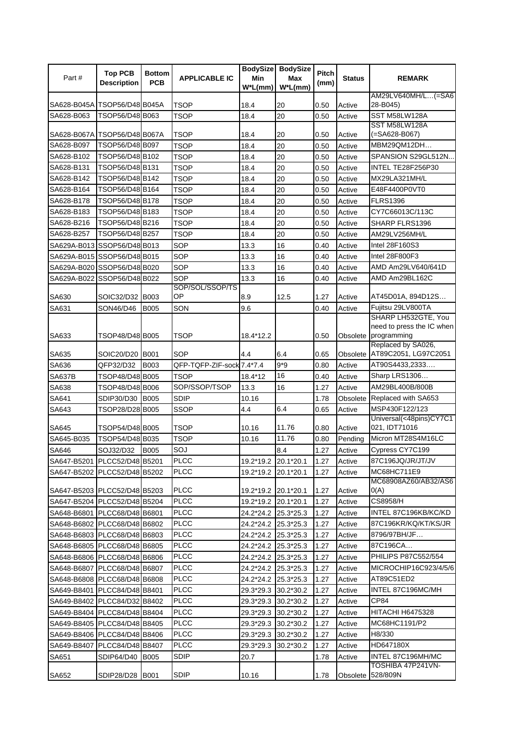| <b>PCB</b><br><b>Description</b><br>(mm)<br>$W^*L(mm)$<br>$W^*L(mm)$<br>SA628-B045A TSOP56/D48 B045A<br>TSOP<br>18.4<br>20<br>0.50<br>Active<br>28-B045)<br>TSOP56/D48 B063<br>SST M58LW128A<br>SA628-B063<br>20<br><b>TSOP</b><br>18.4<br>0.50<br>Active<br>SST M58LW128A<br>(=SA628-B067)<br>SA628-B067A TSOP56/D48 B067A<br>TSOP<br>18.4<br>20<br>0.50<br>Active<br>TSOP56/D48 B097<br>SA628-B097<br><b>TSOP</b><br>18.4<br>20<br>0.50<br>Active<br>MBM29QM12DH<br>SA628-B102<br>TSOP56/D48 B102<br>SPANSION S29GL512N<br>20<br>Active<br><b>TSOP</b><br>18.4<br>0.50<br>TSOP56/D48 B131<br>INTEL TE28F256P30<br>SA628-B131<br><b>TSOP</b><br>20<br>Active<br>18.4<br>0.50<br>SA628-B142<br>TSOP56/D48 B142<br>MX29LA321MH/L<br><b>TSOP</b><br>20<br>0.50<br>Active<br>18.4<br>TSOP56/D48 B164<br>20<br>E48F4400P0VT0<br>SA628-B164<br><b>TSOP</b><br>Active<br>18.4<br>0.50<br>SA628-B178<br>TSOP56/D48 B178<br>20<br><b>TSOP</b><br>Active<br><b>FLRS1396</b><br>18.4<br>0.50<br>TSOP56/D48 B183<br>SA628-B183<br>20<br>CY7C66013C/113C<br><b>TSOP</b><br>Active<br>18.4<br>0.50<br>20<br>TSOP56/D48 B216<br>SA628-B216<br><b>TSOP</b><br>0.50<br>18.4<br>Active<br>SHARP FLRS1396<br>TSOP56/D48 B257<br>SA628-B257<br>20<br><b>TSOP</b><br>18.4<br>0.50<br>Active<br>AM29LV256MH/L<br>16<br>Intel 28F160S3<br>SOP<br>SA629A-B013 SSOP56/D48 B013<br>13.3<br>0.40<br>Active<br>16<br>SOP<br>Intel 28F800F3<br>SA629A-B015 SSOP56/D48 B015<br>13.3<br>0.40<br>Active<br>SOP<br>16<br>AMD Am29LV640/641D<br>SA629A-B020 SSOP56/D48 B020<br>13.3<br>0.40<br>Active<br>SOP<br>16<br>AMD Am29BL162C<br>SA629A-B022 SSOP56/D48 B022<br>13.3<br>Active<br>0.40<br>SOP/SOL/SSOP/TS<br>OP<br>8.9<br>12.5<br>AT45D01A, 894D12S<br>SA630<br>SOIC32/D32 B003<br>1.27<br>Active<br>SA631<br><b>B005</b><br>SON<br>9.6<br>Active<br>Fujitsu 29LV800TA<br>SON46/D46<br>0.40<br>SHARP LH532GTE, You<br>Obsolete programming<br>SA633<br>TSOP48/D48 B005<br>TSOP<br>18.4*12.2<br>0.50<br>Replaced by SA026,<br>Obsolete AT89C2051, LG97C2051<br>SOP<br>SA635<br>SOIC20/D20 B001<br>4.4<br>6.4<br>0.65<br>$9*9$<br>Active<br>SA636<br>QFP32/D32<br><b>B003</b><br>QFP-TQFP-ZIF-sock 7.4*7.4<br>0.80<br>AT90S4433,2333<br>16<br>Sharp LRS1306<br>TSOP48/D48 B005<br><b>TSOP</b><br>Active<br><b>SA637B</b><br>18.4*12<br>0.40<br>SOP/SSOP/TSOP<br>AM29BL400B/800B<br>TSOP48/D48 B006<br>16<br>1.27<br>Active<br>SA638<br>13.3<br>SA641<br>SDIP30/D30 B005<br><b>SDIP</b><br>1.78<br>10.16<br>Obsolete<br>Replaced with SA653<br>6.4<br>MSP430F122/123<br>SA643<br>TSOP28/D28 B005<br><b>SSOP</b><br>0.65<br>Active<br>4.4<br>Universal(<48pins)CY7C1<br>11.76<br>021, IDT71016<br><b>TSOP</b><br>SA645<br>TSOP54/D48 B005<br>10.16<br>0.80<br>Active<br>11.76<br>Micron MT28S4M16LC<br>SA645-B035<br>TSOP54/D48 B035<br><b>TSOP</b><br>Pending<br>10.16<br>0.80<br>SOJ<br>8.4<br>Active<br>Cypress CY7C199<br>SA646<br>SOJ32/D32<br><b>B005</b><br>1.27<br>SA647-B5201 PLCC52/D48 B5201<br><b>PLCC</b><br>19.2*19.2 20.1*20.1<br>1.27<br>87C196JQ/JR/JT/JV<br>Active<br>MC68HC711E9<br><b>PLCC</b><br>SA647-B5202 PLCC52/D48 B5202<br>19.2*19.2 20.1*20.1<br>1.27<br>Active<br>MC68908AZ60/AB32/AS6<br><b>PLCC</b><br>SA647-B5203 PLCC52/D48 B5203<br>19.2*19.2 20.1*20.1<br>1.27<br>Active<br>O(A)<br><b>PLCC</b><br>CS8958/H<br>SA647-B5204 PLCC52/D48 B5204<br>19.2*19.2 20.1*20.1<br>1.27<br>Active<br><b>PLCC</b><br>INTEL 87C196KB/KC/KD<br>SA648-B6801 PLCC68/D48 B6801<br>24.2*24.2 25.3*25.3<br>1.27<br>Active<br><b>PLCC</b><br>87C196KR/KQ/KT/KS/JR<br>SA648-B6802 PLCC68/D48 B6802<br>24.2*24.2 25.3*25.3<br>1.27<br>Active<br><b>PLCC</b><br>8796/97BH/JF<br>SA648-B6803 PLCC68/D48 B6803<br>24.2*24.2 25.3*25.3<br>Active<br>1.27<br><b>PLCC</b><br>87C196CA<br>SA648-B6805 PLCC68/D48 B6805<br>Active<br>24.2*24.2<br>25.3*25.3<br>1.27<br><b>PLCC</b><br>PHILIPS P87C552/554<br>SA648-B6806 PLCC68/D48 B6806<br>Active<br>24.2*24.2<br>25.3*25.3<br>1.27<br><b>PLCC</b><br>SA648-B6807 PLCC68/D48 B6807<br>Active<br>MICROCHIP16C923/4/5/6<br>24.2*24.2<br>25.3*25.3<br>1.27<br><b>PLCC</b><br>AT89C51ED2<br>SA648-B6808 PLCC68/D48 B6808<br>1.27<br>Active<br>24.2*24.2<br>25.3*25.3<br><b>PLCC</b><br>INTEL 87C196MC/MH<br>SA649-B8401 PLCC84/D48 B8401<br>1.27<br>29.3*29.3<br>30.2*30.2<br>Active<br><b>PLCC</b><br>SA649-B8402 PLCC84/D32 B8402<br>1.27<br>CP84<br>29.3*29.3<br>30.2*30.2<br>Active<br><b>PLCC</b><br>HITACHI H6475328<br>SA649-B8404 PLCC84/D48 B8404<br>29.3*29.3<br>30.2*30.2<br>1.27<br>Active<br><b>PLCC</b><br>MC68HC1191/P2<br>SA649-B8405 PLCC84/D48 B8405<br>29.3*29.3<br>30.2*30.2<br>1.27<br>Active<br><b>PLCC</b><br>H8/330<br>SA649-B8406 PLCC84/D48 B8406<br>29.3*29.3<br>30.2*30.2<br>1.27<br>Active<br><b>PLCC</b><br>SA649-B8407 PLCC84/D48 B8407<br>29.3*29.3<br>30.2*30.2<br>1.27<br>HD647180X<br>Active<br><b>SDIP</b><br>INTEL 87C196MH/MC<br>SDIP64/D40<br>20.7<br>1.78<br>Active<br>SA651<br><b>B005</b><br>TOSHIBA 47P241VN-<br><b>SDIP</b><br>SDIP28/D28 B001<br>1.78<br>Obsolete 528/809N<br>SA652<br>10.16 |       | <b>Top PCB</b> | <b>Bottom</b> |                      |     | BodySize BodySize | <b>Pitch</b> |               |               |
|--------------------------------------------------------------------------------------------------------------------------------------------------------------------------------------------------------------------------------------------------------------------------------------------------------------------------------------------------------------------------------------------------------------------------------------------------------------------------------------------------------------------------------------------------------------------------------------------------------------------------------------------------------------------------------------------------------------------------------------------------------------------------------------------------------------------------------------------------------------------------------------------------------------------------------------------------------------------------------------------------------------------------------------------------------------------------------------------------------------------------------------------------------------------------------------------------------------------------------------------------------------------------------------------------------------------------------------------------------------------------------------------------------------------------------------------------------------------------------------------------------------------------------------------------------------------------------------------------------------------------------------------------------------------------------------------------------------------------------------------------------------------------------------------------------------------------------------------------------------------------------------------------------------------------------------------------------------------------------------------------------------------------------------------------------------------------------------------------------------------------------------------------------------------------------------------------------------------------------------------------------------------------------------------------------------------------------------------------------------------------------------------------------------------------------------------------------------------------------------------------------------------------------------------------------------------------------------------------------------------------------------------------------------------------------------------------------------------------------------------------------------------------------------------------------------------------------------------------------------------------------------------------------------------------------------------------------------------------------------------------------------------------------------------------------------------------------------------------------------------------------------------------------------------------------------------------------------------------------------------------------------------------------------------------------------------------------------------------------------------------------------------------------------------------------------------------------------------------------------------------------------------------------------------------------------------------------------------------------------------------------------------------------------------------------------------------------------------------------------------------------------------------------------------------------------------------------------------------------------------------------------------------------------------------------------------------------------------------------------------------------------------------------------------------------------------------------------------------------------------------------------------------------------------------------------------------------------------------------------------------------------------------------------------------------------------------------------------------------------------------------------------------------------------------------------------------------------------------------------------------------------------------------------------------------------------------------------------------------------------------------------------------------------------------------------------------------------------------------------------------------------------------------------------------------------------------------------------------------------------------------------------------------------------------------------------------------------------------------------------------------------------------------------------------------------|-------|----------------|---------------|----------------------|-----|-------------------|--------------|---------------|---------------|
| AM29LV640MH/L(=SA6<br>need to press the IC when                                                                                                                                                                                                                                                                                                                                                                                                                                                                                                                                                                                                                                                                                                                                                                                                                                                                                                                                                                                                                                                                                                                                                                                                                                                                                                                                                                                                                                                                                                                                                                                                                                                                                                                                                                                                                                                                                                                                                                                                                                                                                                                                                                                                                                                                                                                                                                                                                                                                                                                                                                                                                                                                                                                                                                                                                                                                                                                                                                                                                                                                                                                                                                                                                                                                                                                                                                                                                                                                                                                                                                                                                                                                                                                                                                                                                                                                                                                                                                                                                                                                                                                                                                                                                                                                                                                                                                                                                                                                                                                                                                                                                                                                                                                                                                                                                                                                                                                                                                                                              | Part# |                |               | <b>APPLICABLE IC</b> | Min | Max               |              | <b>Status</b> | <b>REMARK</b> |
|                                                                                                                                                                                                                                                                                                                                                                                                                                                                                                                                                                                                                                                                                                                                                                                                                                                                                                                                                                                                                                                                                                                                                                                                                                                                                                                                                                                                                                                                                                                                                                                                                                                                                                                                                                                                                                                                                                                                                                                                                                                                                                                                                                                                                                                                                                                                                                                                                                                                                                                                                                                                                                                                                                                                                                                                                                                                                                                                                                                                                                                                                                                                                                                                                                                                                                                                                                                                                                                                                                                                                                                                                                                                                                                                                                                                                                                                                                                                                                                                                                                                                                                                                                                                                                                                                                                                                                                                                                                                                                                                                                                                                                                                                                                                                                                                                                                                                                                                                                                                                                                              |       |                |               |                      |     |                   |              |               |               |
|                                                                                                                                                                                                                                                                                                                                                                                                                                                                                                                                                                                                                                                                                                                                                                                                                                                                                                                                                                                                                                                                                                                                                                                                                                                                                                                                                                                                                                                                                                                                                                                                                                                                                                                                                                                                                                                                                                                                                                                                                                                                                                                                                                                                                                                                                                                                                                                                                                                                                                                                                                                                                                                                                                                                                                                                                                                                                                                                                                                                                                                                                                                                                                                                                                                                                                                                                                                                                                                                                                                                                                                                                                                                                                                                                                                                                                                                                                                                                                                                                                                                                                                                                                                                                                                                                                                                                                                                                                                                                                                                                                                                                                                                                                                                                                                                                                                                                                                                                                                                                                                              |       |                |               |                      |     |                   |              |               |               |
|                                                                                                                                                                                                                                                                                                                                                                                                                                                                                                                                                                                                                                                                                                                                                                                                                                                                                                                                                                                                                                                                                                                                                                                                                                                                                                                                                                                                                                                                                                                                                                                                                                                                                                                                                                                                                                                                                                                                                                                                                                                                                                                                                                                                                                                                                                                                                                                                                                                                                                                                                                                                                                                                                                                                                                                                                                                                                                                                                                                                                                                                                                                                                                                                                                                                                                                                                                                                                                                                                                                                                                                                                                                                                                                                                                                                                                                                                                                                                                                                                                                                                                                                                                                                                                                                                                                                                                                                                                                                                                                                                                                                                                                                                                                                                                                                                                                                                                                                                                                                                                                              |       |                |               |                      |     |                   |              |               |               |
|                                                                                                                                                                                                                                                                                                                                                                                                                                                                                                                                                                                                                                                                                                                                                                                                                                                                                                                                                                                                                                                                                                                                                                                                                                                                                                                                                                                                                                                                                                                                                                                                                                                                                                                                                                                                                                                                                                                                                                                                                                                                                                                                                                                                                                                                                                                                                                                                                                                                                                                                                                                                                                                                                                                                                                                                                                                                                                                                                                                                                                                                                                                                                                                                                                                                                                                                                                                                                                                                                                                                                                                                                                                                                                                                                                                                                                                                                                                                                                                                                                                                                                                                                                                                                                                                                                                                                                                                                                                                                                                                                                                                                                                                                                                                                                                                                                                                                                                                                                                                                                                              |       |                |               |                      |     |                   |              |               |               |
|                                                                                                                                                                                                                                                                                                                                                                                                                                                                                                                                                                                                                                                                                                                                                                                                                                                                                                                                                                                                                                                                                                                                                                                                                                                                                                                                                                                                                                                                                                                                                                                                                                                                                                                                                                                                                                                                                                                                                                                                                                                                                                                                                                                                                                                                                                                                                                                                                                                                                                                                                                                                                                                                                                                                                                                                                                                                                                                                                                                                                                                                                                                                                                                                                                                                                                                                                                                                                                                                                                                                                                                                                                                                                                                                                                                                                                                                                                                                                                                                                                                                                                                                                                                                                                                                                                                                                                                                                                                                                                                                                                                                                                                                                                                                                                                                                                                                                                                                                                                                                                                              |       |                |               |                      |     |                   |              |               |               |
|                                                                                                                                                                                                                                                                                                                                                                                                                                                                                                                                                                                                                                                                                                                                                                                                                                                                                                                                                                                                                                                                                                                                                                                                                                                                                                                                                                                                                                                                                                                                                                                                                                                                                                                                                                                                                                                                                                                                                                                                                                                                                                                                                                                                                                                                                                                                                                                                                                                                                                                                                                                                                                                                                                                                                                                                                                                                                                                                                                                                                                                                                                                                                                                                                                                                                                                                                                                                                                                                                                                                                                                                                                                                                                                                                                                                                                                                                                                                                                                                                                                                                                                                                                                                                                                                                                                                                                                                                                                                                                                                                                                                                                                                                                                                                                                                                                                                                                                                                                                                                                                              |       |                |               |                      |     |                   |              |               |               |
|                                                                                                                                                                                                                                                                                                                                                                                                                                                                                                                                                                                                                                                                                                                                                                                                                                                                                                                                                                                                                                                                                                                                                                                                                                                                                                                                                                                                                                                                                                                                                                                                                                                                                                                                                                                                                                                                                                                                                                                                                                                                                                                                                                                                                                                                                                                                                                                                                                                                                                                                                                                                                                                                                                                                                                                                                                                                                                                                                                                                                                                                                                                                                                                                                                                                                                                                                                                                                                                                                                                                                                                                                                                                                                                                                                                                                                                                                                                                                                                                                                                                                                                                                                                                                                                                                                                                                                                                                                                                                                                                                                                                                                                                                                                                                                                                                                                                                                                                                                                                                                                              |       |                |               |                      |     |                   |              |               |               |
|                                                                                                                                                                                                                                                                                                                                                                                                                                                                                                                                                                                                                                                                                                                                                                                                                                                                                                                                                                                                                                                                                                                                                                                                                                                                                                                                                                                                                                                                                                                                                                                                                                                                                                                                                                                                                                                                                                                                                                                                                                                                                                                                                                                                                                                                                                                                                                                                                                                                                                                                                                                                                                                                                                                                                                                                                                                                                                                                                                                                                                                                                                                                                                                                                                                                                                                                                                                                                                                                                                                                                                                                                                                                                                                                                                                                                                                                                                                                                                                                                                                                                                                                                                                                                                                                                                                                                                                                                                                                                                                                                                                                                                                                                                                                                                                                                                                                                                                                                                                                                                                              |       |                |               |                      |     |                   |              |               |               |
|                                                                                                                                                                                                                                                                                                                                                                                                                                                                                                                                                                                                                                                                                                                                                                                                                                                                                                                                                                                                                                                                                                                                                                                                                                                                                                                                                                                                                                                                                                                                                                                                                                                                                                                                                                                                                                                                                                                                                                                                                                                                                                                                                                                                                                                                                                                                                                                                                                                                                                                                                                                                                                                                                                                                                                                                                                                                                                                                                                                                                                                                                                                                                                                                                                                                                                                                                                                                                                                                                                                                                                                                                                                                                                                                                                                                                                                                                                                                                                                                                                                                                                                                                                                                                                                                                                                                                                                                                                                                                                                                                                                                                                                                                                                                                                                                                                                                                                                                                                                                                                                              |       |                |               |                      |     |                   |              |               |               |
|                                                                                                                                                                                                                                                                                                                                                                                                                                                                                                                                                                                                                                                                                                                                                                                                                                                                                                                                                                                                                                                                                                                                                                                                                                                                                                                                                                                                                                                                                                                                                                                                                                                                                                                                                                                                                                                                                                                                                                                                                                                                                                                                                                                                                                                                                                                                                                                                                                                                                                                                                                                                                                                                                                                                                                                                                                                                                                                                                                                                                                                                                                                                                                                                                                                                                                                                                                                                                                                                                                                                                                                                                                                                                                                                                                                                                                                                                                                                                                                                                                                                                                                                                                                                                                                                                                                                                                                                                                                                                                                                                                                                                                                                                                                                                                                                                                                                                                                                                                                                                                                              |       |                |               |                      |     |                   |              |               |               |
|                                                                                                                                                                                                                                                                                                                                                                                                                                                                                                                                                                                                                                                                                                                                                                                                                                                                                                                                                                                                                                                                                                                                                                                                                                                                                                                                                                                                                                                                                                                                                                                                                                                                                                                                                                                                                                                                                                                                                                                                                                                                                                                                                                                                                                                                                                                                                                                                                                                                                                                                                                                                                                                                                                                                                                                                                                                                                                                                                                                                                                                                                                                                                                                                                                                                                                                                                                                                                                                                                                                                                                                                                                                                                                                                                                                                                                                                                                                                                                                                                                                                                                                                                                                                                                                                                                                                                                                                                                                                                                                                                                                                                                                                                                                                                                                                                                                                                                                                                                                                                                                              |       |                |               |                      |     |                   |              |               |               |
|                                                                                                                                                                                                                                                                                                                                                                                                                                                                                                                                                                                                                                                                                                                                                                                                                                                                                                                                                                                                                                                                                                                                                                                                                                                                                                                                                                                                                                                                                                                                                                                                                                                                                                                                                                                                                                                                                                                                                                                                                                                                                                                                                                                                                                                                                                                                                                                                                                                                                                                                                                                                                                                                                                                                                                                                                                                                                                                                                                                                                                                                                                                                                                                                                                                                                                                                                                                                                                                                                                                                                                                                                                                                                                                                                                                                                                                                                                                                                                                                                                                                                                                                                                                                                                                                                                                                                                                                                                                                                                                                                                                                                                                                                                                                                                                                                                                                                                                                                                                                                                                              |       |                |               |                      |     |                   |              |               |               |
|                                                                                                                                                                                                                                                                                                                                                                                                                                                                                                                                                                                                                                                                                                                                                                                                                                                                                                                                                                                                                                                                                                                                                                                                                                                                                                                                                                                                                                                                                                                                                                                                                                                                                                                                                                                                                                                                                                                                                                                                                                                                                                                                                                                                                                                                                                                                                                                                                                                                                                                                                                                                                                                                                                                                                                                                                                                                                                                                                                                                                                                                                                                                                                                                                                                                                                                                                                                                                                                                                                                                                                                                                                                                                                                                                                                                                                                                                                                                                                                                                                                                                                                                                                                                                                                                                                                                                                                                                                                                                                                                                                                                                                                                                                                                                                                                                                                                                                                                                                                                                                                              |       |                |               |                      |     |                   |              |               |               |
|                                                                                                                                                                                                                                                                                                                                                                                                                                                                                                                                                                                                                                                                                                                                                                                                                                                                                                                                                                                                                                                                                                                                                                                                                                                                                                                                                                                                                                                                                                                                                                                                                                                                                                                                                                                                                                                                                                                                                                                                                                                                                                                                                                                                                                                                                                                                                                                                                                                                                                                                                                                                                                                                                                                                                                                                                                                                                                                                                                                                                                                                                                                                                                                                                                                                                                                                                                                                                                                                                                                                                                                                                                                                                                                                                                                                                                                                                                                                                                                                                                                                                                                                                                                                                                                                                                                                                                                                                                                                                                                                                                                                                                                                                                                                                                                                                                                                                                                                                                                                                                                              |       |                |               |                      |     |                   |              |               |               |
|                                                                                                                                                                                                                                                                                                                                                                                                                                                                                                                                                                                                                                                                                                                                                                                                                                                                                                                                                                                                                                                                                                                                                                                                                                                                                                                                                                                                                                                                                                                                                                                                                                                                                                                                                                                                                                                                                                                                                                                                                                                                                                                                                                                                                                                                                                                                                                                                                                                                                                                                                                                                                                                                                                                                                                                                                                                                                                                                                                                                                                                                                                                                                                                                                                                                                                                                                                                                                                                                                                                                                                                                                                                                                                                                                                                                                                                                                                                                                                                                                                                                                                                                                                                                                                                                                                                                                                                                                                                                                                                                                                                                                                                                                                                                                                                                                                                                                                                                                                                                                                                              |       |                |               |                      |     |                   |              |               |               |
|                                                                                                                                                                                                                                                                                                                                                                                                                                                                                                                                                                                                                                                                                                                                                                                                                                                                                                                                                                                                                                                                                                                                                                                                                                                                                                                                                                                                                                                                                                                                                                                                                                                                                                                                                                                                                                                                                                                                                                                                                                                                                                                                                                                                                                                                                                                                                                                                                                                                                                                                                                                                                                                                                                                                                                                                                                                                                                                                                                                                                                                                                                                                                                                                                                                                                                                                                                                                                                                                                                                                                                                                                                                                                                                                                                                                                                                                                                                                                                                                                                                                                                                                                                                                                                                                                                                                                                                                                                                                                                                                                                                                                                                                                                                                                                                                                                                                                                                                                                                                                                                              |       |                |               |                      |     |                   |              |               |               |
|                                                                                                                                                                                                                                                                                                                                                                                                                                                                                                                                                                                                                                                                                                                                                                                                                                                                                                                                                                                                                                                                                                                                                                                                                                                                                                                                                                                                                                                                                                                                                                                                                                                                                                                                                                                                                                                                                                                                                                                                                                                                                                                                                                                                                                                                                                                                                                                                                                                                                                                                                                                                                                                                                                                                                                                                                                                                                                                                                                                                                                                                                                                                                                                                                                                                                                                                                                                                                                                                                                                                                                                                                                                                                                                                                                                                                                                                                                                                                                                                                                                                                                                                                                                                                                                                                                                                                                                                                                                                                                                                                                                                                                                                                                                                                                                                                                                                                                                                                                                                                                                              |       |                |               |                      |     |                   |              |               |               |
|                                                                                                                                                                                                                                                                                                                                                                                                                                                                                                                                                                                                                                                                                                                                                                                                                                                                                                                                                                                                                                                                                                                                                                                                                                                                                                                                                                                                                                                                                                                                                                                                                                                                                                                                                                                                                                                                                                                                                                                                                                                                                                                                                                                                                                                                                                                                                                                                                                                                                                                                                                                                                                                                                                                                                                                                                                                                                                                                                                                                                                                                                                                                                                                                                                                                                                                                                                                                                                                                                                                                                                                                                                                                                                                                                                                                                                                                                                                                                                                                                                                                                                                                                                                                                                                                                                                                                                                                                                                                                                                                                                                                                                                                                                                                                                                                                                                                                                                                                                                                                                                              |       |                |               |                      |     |                   |              |               |               |
|                                                                                                                                                                                                                                                                                                                                                                                                                                                                                                                                                                                                                                                                                                                                                                                                                                                                                                                                                                                                                                                                                                                                                                                                                                                                                                                                                                                                                                                                                                                                                                                                                                                                                                                                                                                                                                                                                                                                                                                                                                                                                                                                                                                                                                                                                                                                                                                                                                                                                                                                                                                                                                                                                                                                                                                                                                                                                                                                                                                                                                                                                                                                                                                                                                                                                                                                                                                                                                                                                                                                                                                                                                                                                                                                                                                                                                                                                                                                                                                                                                                                                                                                                                                                                                                                                                                                                                                                                                                                                                                                                                                                                                                                                                                                                                                                                                                                                                                                                                                                                                                              |       |                |               |                      |     |                   |              |               |               |
|                                                                                                                                                                                                                                                                                                                                                                                                                                                                                                                                                                                                                                                                                                                                                                                                                                                                                                                                                                                                                                                                                                                                                                                                                                                                                                                                                                                                                                                                                                                                                                                                                                                                                                                                                                                                                                                                                                                                                                                                                                                                                                                                                                                                                                                                                                                                                                                                                                                                                                                                                                                                                                                                                                                                                                                                                                                                                                                                                                                                                                                                                                                                                                                                                                                                                                                                                                                                                                                                                                                                                                                                                                                                                                                                                                                                                                                                                                                                                                                                                                                                                                                                                                                                                                                                                                                                                                                                                                                                                                                                                                                                                                                                                                                                                                                                                                                                                                                                                                                                                                                              |       |                |               |                      |     |                   |              |               |               |
|                                                                                                                                                                                                                                                                                                                                                                                                                                                                                                                                                                                                                                                                                                                                                                                                                                                                                                                                                                                                                                                                                                                                                                                                                                                                                                                                                                                                                                                                                                                                                                                                                                                                                                                                                                                                                                                                                                                                                                                                                                                                                                                                                                                                                                                                                                                                                                                                                                                                                                                                                                                                                                                                                                                                                                                                                                                                                                                                                                                                                                                                                                                                                                                                                                                                                                                                                                                                                                                                                                                                                                                                                                                                                                                                                                                                                                                                                                                                                                                                                                                                                                                                                                                                                                                                                                                                                                                                                                                                                                                                                                                                                                                                                                                                                                                                                                                                                                                                                                                                                                                              |       |                |               |                      |     |                   |              |               |               |
|                                                                                                                                                                                                                                                                                                                                                                                                                                                                                                                                                                                                                                                                                                                                                                                                                                                                                                                                                                                                                                                                                                                                                                                                                                                                                                                                                                                                                                                                                                                                                                                                                                                                                                                                                                                                                                                                                                                                                                                                                                                                                                                                                                                                                                                                                                                                                                                                                                                                                                                                                                                                                                                                                                                                                                                                                                                                                                                                                                                                                                                                                                                                                                                                                                                                                                                                                                                                                                                                                                                                                                                                                                                                                                                                                                                                                                                                                                                                                                                                                                                                                                                                                                                                                                                                                                                                                                                                                                                                                                                                                                                                                                                                                                                                                                                                                                                                                                                                                                                                                                                              |       |                |               |                      |     |                   |              |               |               |
|                                                                                                                                                                                                                                                                                                                                                                                                                                                                                                                                                                                                                                                                                                                                                                                                                                                                                                                                                                                                                                                                                                                                                                                                                                                                                                                                                                                                                                                                                                                                                                                                                                                                                                                                                                                                                                                                                                                                                                                                                                                                                                                                                                                                                                                                                                                                                                                                                                                                                                                                                                                                                                                                                                                                                                                                                                                                                                                                                                                                                                                                                                                                                                                                                                                                                                                                                                                                                                                                                                                                                                                                                                                                                                                                                                                                                                                                                                                                                                                                                                                                                                                                                                                                                                                                                                                                                                                                                                                                                                                                                                                                                                                                                                                                                                                                                                                                                                                                                                                                                                                              |       |                |               |                      |     |                   |              |               |               |
|                                                                                                                                                                                                                                                                                                                                                                                                                                                                                                                                                                                                                                                                                                                                                                                                                                                                                                                                                                                                                                                                                                                                                                                                                                                                                                                                                                                                                                                                                                                                                                                                                                                                                                                                                                                                                                                                                                                                                                                                                                                                                                                                                                                                                                                                                                                                                                                                                                                                                                                                                                                                                                                                                                                                                                                                                                                                                                                                                                                                                                                                                                                                                                                                                                                                                                                                                                                                                                                                                                                                                                                                                                                                                                                                                                                                                                                                                                                                                                                                                                                                                                                                                                                                                                                                                                                                                                                                                                                                                                                                                                                                                                                                                                                                                                                                                                                                                                                                                                                                                                                              |       |                |               |                      |     |                   |              |               |               |
|                                                                                                                                                                                                                                                                                                                                                                                                                                                                                                                                                                                                                                                                                                                                                                                                                                                                                                                                                                                                                                                                                                                                                                                                                                                                                                                                                                                                                                                                                                                                                                                                                                                                                                                                                                                                                                                                                                                                                                                                                                                                                                                                                                                                                                                                                                                                                                                                                                                                                                                                                                                                                                                                                                                                                                                                                                                                                                                                                                                                                                                                                                                                                                                                                                                                                                                                                                                                                                                                                                                                                                                                                                                                                                                                                                                                                                                                                                                                                                                                                                                                                                                                                                                                                                                                                                                                                                                                                                                                                                                                                                                                                                                                                                                                                                                                                                                                                                                                                                                                                                                              |       |                |               |                      |     |                   |              |               |               |
|                                                                                                                                                                                                                                                                                                                                                                                                                                                                                                                                                                                                                                                                                                                                                                                                                                                                                                                                                                                                                                                                                                                                                                                                                                                                                                                                                                                                                                                                                                                                                                                                                                                                                                                                                                                                                                                                                                                                                                                                                                                                                                                                                                                                                                                                                                                                                                                                                                                                                                                                                                                                                                                                                                                                                                                                                                                                                                                                                                                                                                                                                                                                                                                                                                                                                                                                                                                                                                                                                                                                                                                                                                                                                                                                                                                                                                                                                                                                                                                                                                                                                                                                                                                                                                                                                                                                                                                                                                                                                                                                                                                                                                                                                                                                                                                                                                                                                                                                                                                                                                                              |       |                |               |                      |     |                   |              |               |               |
|                                                                                                                                                                                                                                                                                                                                                                                                                                                                                                                                                                                                                                                                                                                                                                                                                                                                                                                                                                                                                                                                                                                                                                                                                                                                                                                                                                                                                                                                                                                                                                                                                                                                                                                                                                                                                                                                                                                                                                                                                                                                                                                                                                                                                                                                                                                                                                                                                                                                                                                                                                                                                                                                                                                                                                                                                                                                                                                                                                                                                                                                                                                                                                                                                                                                                                                                                                                                                                                                                                                                                                                                                                                                                                                                                                                                                                                                                                                                                                                                                                                                                                                                                                                                                                                                                                                                                                                                                                                                                                                                                                                                                                                                                                                                                                                                                                                                                                                                                                                                                                                              |       |                |               |                      |     |                   |              |               |               |
|                                                                                                                                                                                                                                                                                                                                                                                                                                                                                                                                                                                                                                                                                                                                                                                                                                                                                                                                                                                                                                                                                                                                                                                                                                                                                                                                                                                                                                                                                                                                                                                                                                                                                                                                                                                                                                                                                                                                                                                                                                                                                                                                                                                                                                                                                                                                                                                                                                                                                                                                                                                                                                                                                                                                                                                                                                                                                                                                                                                                                                                                                                                                                                                                                                                                                                                                                                                                                                                                                                                                                                                                                                                                                                                                                                                                                                                                                                                                                                                                                                                                                                                                                                                                                                                                                                                                                                                                                                                                                                                                                                                                                                                                                                                                                                                                                                                                                                                                                                                                                                                              |       |                |               |                      |     |                   |              |               |               |
|                                                                                                                                                                                                                                                                                                                                                                                                                                                                                                                                                                                                                                                                                                                                                                                                                                                                                                                                                                                                                                                                                                                                                                                                                                                                                                                                                                                                                                                                                                                                                                                                                                                                                                                                                                                                                                                                                                                                                                                                                                                                                                                                                                                                                                                                                                                                                                                                                                                                                                                                                                                                                                                                                                                                                                                                                                                                                                                                                                                                                                                                                                                                                                                                                                                                                                                                                                                                                                                                                                                                                                                                                                                                                                                                                                                                                                                                                                                                                                                                                                                                                                                                                                                                                                                                                                                                                                                                                                                                                                                                                                                                                                                                                                                                                                                                                                                                                                                                                                                                                                                              |       |                |               |                      |     |                   |              |               |               |
|                                                                                                                                                                                                                                                                                                                                                                                                                                                                                                                                                                                                                                                                                                                                                                                                                                                                                                                                                                                                                                                                                                                                                                                                                                                                                                                                                                                                                                                                                                                                                                                                                                                                                                                                                                                                                                                                                                                                                                                                                                                                                                                                                                                                                                                                                                                                                                                                                                                                                                                                                                                                                                                                                                                                                                                                                                                                                                                                                                                                                                                                                                                                                                                                                                                                                                                                                                                                                                                                                                                                                                                                                                                                                                                                                                                                                                                                                                                                                                                                                                                                                                                                                                                                                                                                                                                                                                                                                                                                                                                                                                                                                                                                                                                                                                                                                                                                                                                                                                                                                                                              |       |                |               |                      |     |                   |              |               |               |
|                                                                                                                                                                                                                                                                                                                                                                                                                                                                                                                                                                                                                                                                                                                                                                                                                                                                                                                                                                                                                                                                                                                                                                                                                                                                                                                                                                                                                                                                                                                                                                                                                                                                                                                                                                                                                                                                                                                                                                                                                                                                                                                                                                                                                                                                                                                                                                                                                                                                                                                                                                                                                                                                                                                                                                                                                                                                                                                                                                                                                                                                                                                                                                                                                                                                                                                                                                                                                                                                                                                                                                                                                                                                                                                                                                                                                                                                                                                                                                                                                                                                                                                                                                                                                                                                                                                                                                                                                                                                                                                                                                                                                                                                                                                                                                                                                                                                                                                                                                                                                                                              |       |                |               |                      |     |                   |              |               |               |
|                                                                                                                                                                                                                                                                                                                                                                                                                                                                                                                                                                                                                                                                                                                                                                                                                                                                                                                                                                                                                                                                                                                                                                                                                                                                                                                                                                                                                                                                                                                                                                                                                                                                                                                                                                                                                                                                                                                                                                                                                                                                                                                                                                                                                                                                                                                                                                                                                                                                                                                                                                                                                                                                                                                                                                                                                                                                                                                                                                                                                                                                                                                                                                                                                                                                                                                                                                                                                                                                                                                                                                                                                                                                                                                                                                                                                                                                                                                                                                                                                                                                                                                                                                                                                                                                                                                                                                                                                                                                                                                                                                                                                                                                                                                                                                                                                                                                                                                                                                                                                                                              |       |                |               |                      |     |                   |              |               |               |
|                                                                                                                                                                                                                                                                                                                                                                                                                                                                                                                                                                                                                                                                                                                                                                                                                                                                                                                                                                                                                                                                                                                                                                                                                                                                                                                                                                                                                                                                                                                                                                                                                                                                                                                                                                                                                                                                                                                                                                                                                                                                                                                                                                                                                                                                                                                                                                                                                                                                                                                                                                                                                                                                                                                                                                                                                                                                                                                                                                                                                                                                                                                                                                                                                                                                                                                                                                                                                                                                                                                                                                                                                                                                                                                                                                                                                                                                                                                                                                                                                                                                                                                                                                                                                                                                                                                                                                                                                                                                                                                                                                                                                                                                                                                                                                                                                                                                                                                                                                                                                                                              |       |                |               |                      |     |                   |              |               |               |
|                                                                                                                                                                                                                                                                                                                                                                                                                                                                                                                                                                                                                                                                                                                                                                                                                                                                                                                                                                                                                                                                                                                                                                                                                                                                                                                                                                                                                                                                                                                                                                                                                                                                                                                                                                                                                                                                                                                                                                                                                                                                                                                                                                                                                                                                                                                                                                                                                                                                                                                                                                                                                                                                                                                                                                                                                                                                                                                                                                                                                                                                                                                                                                                                                                                                                                                                                                                                                                                                                                                                                                                                                                                                                                                                                                                                                                                                                                                                                                                                                                                                                                                                                                                                                                                                                                                                                                                                                                                                                                                                                                                                                                                                                                                                                                                                                                                                                                                                                                                                                                                              |       |                |               |                      |     |                   |              |               |               |
|                                                                                                                                                                                                                                                                                                                                                                                                                                                                                                                                                                                                                                                                                                                                                                                                                                                                                                                                                                                                                                                                                                                                                                                                                                                                                                                                                                                                                                                                                                                                                                                                                                                                                                                                                                                                                                                                                                                                                                                                                                                                                                                                                                                                                                                                                                                                                                                                                                                                                                                                                                                                                                                                                                                                                                                                                                                                                                                                                                                                                                                                                                                                                                                                                                                                                                                                                                                                                                                                                                                                                                                                                                                                                                                                                                                                                                                                                                                                                                                                                                                                                                                                                                                                                                                                                                                                                                                                                                                                                                                                                                                                                                                                                                                                                                                                                                                                                                                                                                                                                                                              |       |                |               |                      |     |                   |              |               |               |
|                                                                                                                                                                                                                                                                                                                                                                                                                                                                                                                                                                                                                                                                                                                                                                                                                                                                                                                                                                                                                                                                                                                                                                                                                                                                                                                                                                                                                                                                                                                                                                                                                                                                                                                                                                                                                                                                                                                                                                                                                                                                                                                                                                                                                                                                                                                                                                                                                                                                                                                                                                                                                                                                                                                                                                                                                                                                                                                                                                                                                                                                                                                                                                                                                                                                                                                                                                                                                                                                                                                                                                                                                                                                                                                                                                                                                                                                                                                                                                                                                                                                                                                                                                                                                                                                                                                                                                                                                                                                                                                                                                                                                                                                                                                                                                                                                                                                                                                                                                                                                                                              |       |                |               |                      |     |                   |              |               |               |
|                                                                                                                                                                                                                                                                                                                                                                                                                                                                                                                                                                                                                                                                                                                                                                                                                                                                                                                                                                                                                                                                                                                                                                                                                                                                                                                                                                                                                                                                                                                                                                                                                                                                                                                                                                                                                                                                                                                                                                                                                                                                                                                                                                                                                                                                                                                                                                                                                                                                                                                                                                                                                                                                                                                                                                                                                                                                                                                                                                                                                                                                                                                                                                                                                                                                                                                                                                                                                                                                                                                                                                                                                                                                                                                                                                                                                                                                                                                                                                                                                                                                                                                                                                                                                                                                                                                                                                                                                                                                                                                                                                                                                                                                                                                                                                                                                                                                                                                                                                                                                                                              |       |                |               |                      |     |                   |              |               |               |
|                                                                                                                                                                                                                                                                                                                                                                                                                                                                                                                                                                                                                                                                                                                                                                                                                                                                                                                                                                                                                                                                                                                                                                                                                                                                                                                                                                                                                                                                                                                                                                                                                                                                                                                                                                                                                                                                                                                                                                                                                                                                                                                                                                                                                                                                                                                                                                                                                                                                                                                                                                                                                                                                                                                                                                                                                                                                                                                                                                                                                                                                                                                                                                                                                                                                                                                                                                                                                                                                                                                                                                                                                                                                                                                                                                                                                                                                                                                                                                                                                                                                                                                                                                                                                                                                                                                                                                                                                                                                                                                                                                                                                                                                                                                                                                                                                                                                                                                                                                                                                                                              |       |                |               |                      |     |                   |              |               |               |
|                                                                                                                                                                                                                                                                                                                                                                                                                                                                                                                                                                                                                                                                                                                                                                                                                                                                                                                                                                                                                                                                                                                                                                                                                                                                                                                                                                                                                                                                                                                                                                                                                                                                                                                                                                                                                                                                                                                                                                                                                                                                                                                                                                                                                                                                                                                                                                                                                                                                                                                                                                                                                                                                                                                                                                                                                                                                                                                                                                                                                                                                                                                                                                                                                                                                                                                                                                                                                                                                                                                                                                                                                                                                                                                                                                                                                                                                                                                                                                                                                                                                                                                                                                                                                                                                                                                                                                                                                                                                                                                                                                                                                                                                                                                                                                                                                                                                                                                                                                                                                                                              |       |                |               |                      |     |                   |              |               |               |
|                                                                                                                                                                                                                                                                                                                                                                                                                                                                                                                                                                                                                                                                                                                                                                                                                                                                                                                                                                                                                                                                                                                                                                                                                                                                                                                                                                                                                                                                                                                                                                                                                                                                                                                                                                                                                                                                                                                                                                                                                                                                                                                                                                                                                                                                                                                                                                                                                                                                                                                                                                                                                                                                                                                                                                                                                                                                                                                                                                                                                                                                                                                                                                                                                                                                                                                                                                                                                                                                                                                                                                                                                                                                                                                                                                                                                                                                                                                                                                                                                                                                                                                                                                                                                                                                                                                                                                                                                                                                                                                                                                                                                                                                                                                                                                                                                                                                                                                                                                                                                                                              |       |                |               |                      |     |                   |              |               |               |
|                                                                                                                                                                                                                                                                                                                                                                                                                                                                                                                                                                                                                                                                                                                                                                                                                                                                                                                                                                                                                                                                                                                                                                                                                                                                                                                                                                                                                                                                                                                                                                                                                                                                                                                                                                                                                                                                                                                                                                                                                                                                                                                                                                                                                                                                                                                                                                                                                                                                                                                                                                                                                                                                                                                                                                                                                                                                                                                                                                                                                                                                                                                                                                                                                                                                                                                                                                                                                                                                                                                                                                                                                                                                                                                                                                                                                                                                                                                                                                                                                                                                                                                                                                                                                                                                                                                                                                                                                                                                                                                                                                                                                                                                                                                                                                                                                                                                                                                                                                                                                                                              |       |                |               |                      |     |                   |              |               |               |
|                                                                                                                                                                                                                                                                                                                                                                                                                                                                                                                                                                                                                                                                                                                                                                                                                                                                                                                                                                                                                                                                                                                                                                                                                                                                                                                                                                                                                                                                                                                                                                                                                                                                                                                                                                                                                                                                                                                                                                                                                                                                                                                                                                                                                                                                                                                                                                                                                                                                                                                                                                                                                                                                                                                                                                                                                                                                                                                                                                                                                                                                                                                                                                                                                                                                                                                                                                                                                                                                                                                                                                                                                                                                                                                                                                                                                                                                                                                                                                                                                                                                                                                                                                                                                                                                                                                                                                                                                                                                                                                                                                                                                                                                                                                                                                                                                                                                                                                                                                                                                                                              |       |                |               |                      |     |                   |              |               |               |
|                                                                                                                                                                                                                                                                                                                                                                                                                                                                                                                                                                                                                                                                                                                                                                                                                                                                                                                                                                                                                                                                                                                                                                                                                                                                                                                                                                                                                                                                                                                                                                                                                                                                                                                                                                                                                                                                                                                                                                                                                                                                                                                                                                                                                                                                                                                                                                                                                                                                                                                                                                                                                                                                                                                                                                                                                                                                                                                                                                                                                                                                                                                                                                                                                                                                                                                                                                                                                                                                                                                                                                                                                                                                                                                                                                                                                                                                                                                                                                                                                                                                                                                                                                                                                                                                                                                                                                                                                                                                                                                                                                                                                                                                                                                                                                                                                                                                                                                                                                                                                                                              |       |                |               |                      |     |                   |              |               |               |
|                                                                                                                                                                                                                                                                                                                                                                                                                                                                                                                                                                                                                                                                                                                                                                                                                                                                                                                                                                                                                                                                                                                                                                                                                                                                                                                                                                                                                                                                                                                                                                                                                                                                                                                                                                                                                                                                                                                                                                                                                                                                                                                                                                                                                                                                                                                                                                                                                                                                                                                                                                                                                                                                                                                                                                                                                                                                                                                                                                                                                                                                                                                                                                                                                                                                                                                                                                                                                                                                                                                                                                                                                                                                                                                                                                                                                                                                                                                                                                                                                                                                                                                                                                                                                                                                                                                                                                                                                                                                                                                                                                                                                                                                                                                                                                                                                                                                                                                                                                                                                                                              |       |                |               |                      |     |                   |              |               |               |
|                                                                                                                                                                                                                                                                                                                                                                                                                                                                                                                                                                                                                                                                                                                                                                                                                                                                                                                                                                                                                                                                                                                                                                                                                                                                                                                                                                                                                                                                                                                                                                                                                                                                                                                                                                                                                                                                                                                                                                                                                                                                                                                                                                                                                                                                                                                                                                                                                                                                                                                                                                                                                                                                                                                                                                                                                                                                                                                                                                                                                                                                                                                                                                                                                                                                                                                                                                                                                                                                                                                                                                                                                                                                                                                                                                                                                                                                                                                                                                                                                                                                                                                                                                                                                                                                                                                                                                                                                                                                                                                                                                                                                                                                                                                                                                                                                                                                                                                                                                                                                                                              |       |                |               |                      |     |                   |              |               |               |
|                                                                                                                                                                                                                                                                                                                                                                                                                                                                                                                                                                                                                                                                                                                                                                                                                                                                                                                                                                                                                                                                                                                                                                                                                                                                                                                                                                                                                                                                                                                                                                                                                                                                                                                                                                                                                                                                                                                                                                                                                                                                                                                                                                                                                                                                                                                                                                                                                                                                                                                                                                                                                                                                                                                                                                                                                                                                                                                                                                                                                                                                                                                                                                                                                                                                                                                                                                                                                                                                                                                                                                                                                                                                                                                                                                                                                                                                                                                                                                                                                                                                                                                                                                                                                                                                                                                                                                                                                                                                                                                                                                                                                                                                                                                                                                                                                                                                                                                                                                                                                                                              |       |                |               |                      |     |                   |              |               |               |
|                                                                                                                                                                                                                                                                                                                                                                                                                                                                                                                                                                                                                                                                                                                                                                                                                                                                                                                                                                                                                                                                                                                                                                                                                                                                                                                                                                                                                                                                                                                                                                                                                                                                                                                                                                                                                                                                                                                                                                                                                                                                                                                                                                                                                                                                                                                                                                                                                                                                                                                                                                                                                                                                                                                                                                                                                                                                                                                                                                                                                                                                                                                                                                                                                                                                                                                                                                                                                                                                                                                                                                                                                                                                                                                                                                                                                                                                                                                                                                                                                                                                                                                                                                                                                                                                                                                                                                                                                                                                                                                                                                                                                                                                                                                                                                                                                                                                                                                                                                                                                                                              |       |                |               |                      |     |                   |              |               |               |
|                                                                                                                                                                                                                                                                                                                                                                                                                                                                                                                                                                                                                                                                                                                                                                                                                                                                                                                                                                                                                                                                                                                                                                                                                                                                                                                                                                                                                                                                                                                                                                                                                                                                                                                                                                                                                                                                                                                                                                                                                                                                                                                                                                                                                                                                                                                                                                                                                                                                                                                                                                                                                                                                                                                                                                                                                                                                                                                                                                                                                                                                                                                                                                                                                                                                                                                                                                                                                                                                                                                                                                                                                                                                                                                                                                                                                                                                                                                                                                                                                                                                                                                                                                                                                                                                                                                                                                                                                                                                                                                                                                                                                                                                                                                                                                                                                                                                                                                                                                                                                                                              |       |                |               |                      |     |                   |              |               |               |
|                                                                                                                                                                                                                                                                                                                                                                                                                                                                                                                                                                                                                                                                                                                                                                                                                                                                                                                                                                                                                                                                                                                                                                                                                                                                                                                                                                                                                                                                                                                                                                                                                                                                                                                                                                                                                                                                                                                                                                                                                                                                                                                                                                                                                                                                                                                                                                                                                                                                                                                                                                                                                                                                                                                                                                                                                                                                                                                                                                                                                                                                                                                                                                                                                                                                                                                                                                                                                                                                                                                                                                                                                                                                                                                                                                                                                                                                                                                                                                                                                                                                                                                                                                                                                                                                                                                                                                                                                                                                                                                                                                                                                                                                                                                                                                                                                                                                                                                                                                                                                                                              |       |                |               |                      |     |                   |              |               |               |
|                                                                                                                                                                                                                                                                                                                                                                                                                                                                                                                                                                                                                                                                                                                                                                                                                                                                                                                                                                                                                                                                                                                                                                                                                                                                                                                                                                                                                                                                                                                                                                                                                                                                                                                                                                                                                                                                                                                                                                                                                                                                                                                                                                                                                                                                                                                                                                                                                                                                                                                                                                                                                                                                                                                                                                                                                                                                                                                                                                                                                                                                                                                                                                                                                                                                                                                                                                                                                                                                                                                                                                                                                                                                                                                                                                                                                                                                                                                                                                                                                                                                                                                                                                                                                                                                                                                                                                                                                                                                                                                                                                                                                                                                                                                                                                                                                                                                                                                                                                                                                                                              |       |                |               |                      |     |                   |              |               |               |
|                                                                                                                                                                                                                                                                                                                                                                                                                                                                                                                                                                                                                                                                                                                                                                                                                                                                                                                                                                                                                                                                                                                                                                                                                                                                                                                                                                                                                                                                                                                                                                                                                                                                                                                                                                                                                                                                                                                                                                                                                                                                                                                                                                                                                                                                                                                                                                                                                                                                                                                                                                                                                                                                                                                                                                                                                                                                                                                                                                                                                                                                                                                                                                                                                                                                                                                                                                                                                                                                                                                                                                                                                                                                                                                                                                                                                                                                                                                                                                                                                                                                                                                                                                                                                                                                                                                                                                                                                                                                                                                                                                                                                                                                                                                                                                                                                                                                                                                                                                                                                                                              |       |                |               |                      |     |                   |              |               |               |
|                                                                                                                                                                                                                                                                                                                                                                                                                                                                                                                                                                                                                                                                                                                                                                                                                                                                                                                                                                                                                                                                                                                                                                                                                                                                                                                                                                                                                                                                                                                                                                                                                                                                                                                                                                                                                                                                                                                                                                                                                                                                                                                                                                                                                                                                                                                                                                                                                                                                                                                                                                                                                                                                                                                                                                                                                                                                                                                                                                                                                                                                                                                                                                                                                                                                                                                                                                                                                                                                                                                                                                                                                                                                                                                                                                                                                                                                                                                                                                                                                                                                                                                                                                                                                                                                                                                                                                                                                                                                                                                                                                                                                                                                                                                                                                                                                                                                                                                                                                                                                                                              |       |                |               |                      |     |                   |              |               |               |
|                                                                                                                                                                                                                                                                                                                                                                                                                                                                                                                                                                                                                                                                                                                                                                                                                                                                                                                                                                                                                                                                                                                                                                                                                                                                                                                                                                                                                                                                                                                                                                                                                                                                                                                                                                                                                                                                                                                                                                                                                                                                                                                                                                                                                                                                                                                                                                                                                                                                                                                                                                                                                                                                                                                                                                                                                                                                                                                                                                                                                                                                                                                                                                                                                                                                                                                                                                                                                                                                                                                                                                                                                                                                                                                                                                                                                                                                                                                                                                                                                                                                                                                                                                                                                                                                                                                                                                                                                                                                                                                                                                                                                                                                                                                                                                                                                                                                                                                                                                                                                                                              |       |                |               |                      |     |                   |              |               |               |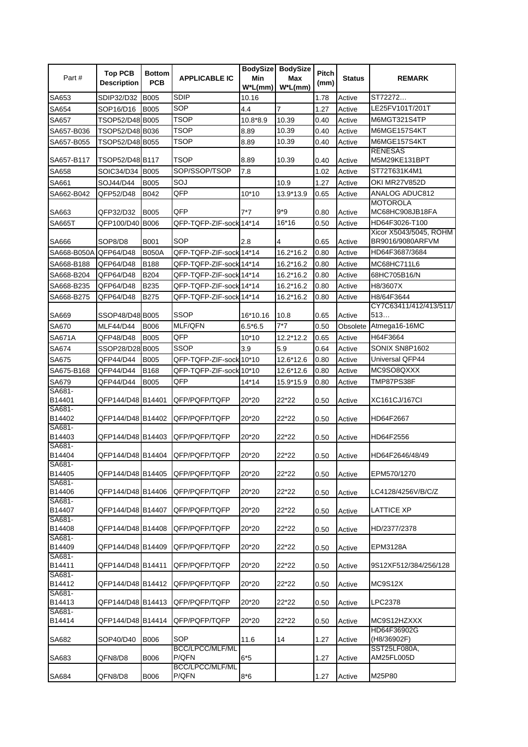| <b>SDIP</b><br>ST72272<br>SA653<br>SDIP32/D32<br><b>B005</b><br>1.78<br>Active<br>10.16<br>SOP<br>$\overline{7}$<br>LE25FV101T/201T<br>SA654<br>SOP16/D16<br><b>B005</b><br>4.4<br>1.27<br>Active<br><b>TSOP</b><br>M6MGT321S4TP<br>10.39<br>Active<br>SA657<br>TSOP52/D48 B005<br>10.8*8.9<br>0.40<br><b>TSOP</b><br>10.39<br>M6MGE157S4KT<br>TSOP52/D48 B036<br>8.89<br>Active<br>SA657-B036<br>0.40<br><b>TSOP</b><br>TSOP52/D48 B055<br>10.39<br>M6MGE157S4KT<br>SA657-B055<br>8.89<br>0.40<br>Active<br><b>RENESAS</b><br>TSOP52/D48 B117<br>TSOP<br>8.89<br>10.39<br>M5M29KE131BPT<br>SA657-B117<br>0.40<br>Active<br>SOP/SSOP/TSOP<br>ST72T631K4M1<br><b>B005</b><br>7.8<br>1.02<br>Active<br>SA658<br>SOIC34/D34<br>SOJ<br>OKI MR27V852D<br>SA661<br>SOJ44/D44<br><b>B005</b><br>10.9<br>1.27<br>Active<br>QFP<br>ANALOG ADUC812<br>QFP52/D48<br>13.9*13.9<br>SA662-B042<br>B042<br>$10*10$<br>0.65<br>Active<br><b>MOTOROLA</b><br>QFP<br>$9*9$<br>MC68HC908JB18FA<br>SA663<br><b>B005</b><br>$7*7$<br>0.80<br>Active<br>QFP32/D32<br>16*16<br>QFP100/D40 B006<br>Active<br>HD64F3026-T100<br><b>SA665T</b><br>QFP-TQFP-ZIF-sock 14*14<br>0.50<br>Xicor X5043/5045, ROHM<br>SOP<br>BR9016/9080ARFVM<br><b>B001</b><br>2.8<br>0.65<br>Active<br>SA666<br>SOP8/D8<br>4<br>HD64F3687/3684<br>Active<br>SA668-B050A<br>QFP64/D48<br><b>B050A</b><br>QFP-TQFP-ZIF-sock 14*14<br>16.2*16.2<br>0.80<br>Active<br>SA668-B188<br>QFP64/D48<br>B188<br>QFP-TQFP-ZIF-sock 14*14<br>16.2*16.2<br>0.80<br>MC68HC711L6<br>B204<br>QFP-TQFP-ZIF-sock 14*14<br>16.2*16.2<br>Active<br>SA668-B204<br>QFP64/D48<br>0.80<br>68HC705B16/N<br>QFP64/D48<br>B235<br>QFP-TQFP-ZIF-sock 14*14<br>16.2*16.2<br>0.80<br>Active<br>H8/3607X<br>SA668-B235<br>SA668-B275<br>QFP64/D48<br>B275<br>QFP-TQFP-ZIF-sock 14*14<br>16.2*16.2<br>0.80<br>Active<br>H8/64F3644<br>CY7C63411/412/413/511/<br><b>SSOP</b><br>SSOP48/D48 B005<br>10.8<br>513<br>SA669<br>16*10.16<br>0.65<br>Active<br>$7*7$<br><b>MLF/QFN</b><br>Atmega16-16MC<br>SA670<br><b>MLF44/D44</b><br><b>B006</b><br>$6.5*6.5$<br>0.50<br>Obsolete<br>QFP<br>12.2*12.2<br>H64F3664<br><b>SA671A</b><br>QFP48/D48<br><b>B005</b><br>$10*10$<br>0.65<br>Active<br>SSOP<br>SONIX SN8P1602<br>SA674<br>SSOP28/D28 B005<br>3.9<br>5.9<br>0.64<br>Active<br>Universal QFP44<br>Active<br>SA675<br>QFP44/D44<br><b>B005</b><br>QFP-TQFP-ZIF-sock 10*10<br>12.6*12.6<br>0.80<br>MC9SO8QXXX<br>B168<br>SA675-B168<br>QFP44/D44<br>QFP-TQFP-ZIF-sock 10*10<br>12.6*12.6<br>0.80<br>Active<br>QFP<br>TMP87PS38F<br>SA679<br>QFP44/D44<br><b>B005</b><br>$14*14$<br>15.9*15.9<br>0.80<br>Active<br>SA681-<br>QFP144/D48 B14401<br>QFP/PQFP/TQFP<br>20*20<br>22*22<br>B14401<br>XC161CJ/167CI<br>0.50<br>Active<br>SA681-<br>B14402<br>QFP144/D48 B14402<br>QFP/PQFP/TQFP<br>20*20<br>22*22<br>HD64F2667<br>0.50<br>Active<br>SA681-<br>QFP144/D48 B14403<br>QFP/PQFP/TQFP<br>20*20<br>22*22<br>B14403<br>0.50<br>Active<br>HD64F2556<br>SA681-<br>QFP144/D48 B14404<br>QFP/PQFP/TQFP<br>20*20<br>22*22<br>B14404<br>HD64F2646/48/49<br>0.50<br>Active<br>SA681-<br>QFP144/D48 B14405<br>22*22<br>B14405<br>QFP/PQFP/TQFP<br>20*20<br>EPM570/1270<br>0.50<br>Active<br>SA681-<br>QFP144/D48 B14406<br>B14406<br>QFP/PQFP/TQFP<br>20*20<br>22*22<br>Active<br>LC4128/4256V/B/C/Z<br>0.50<br>SA681-<br>QFP144/D48 B14407<br>22*22<br>B14407<br>QFP/PQFP/TQFP<br>20*20<br><b>LATTICE XP</b><br>0.50<br>Active<br>SA681-<br>B14408<br>QFP144/D48 B14408<br>QFP/PQFP/TQFP<br>20*20<br>22*22<br>0.50<br>Active<br>HD/2377/2378<br>SA681-<br>B14409<br>QFP144/D48 B14409<br>QFP/PQFP/TQFP<br>20*20<br>22*22<br>EPM3128A<br>0.50<br>Active<br>SA681-<br>QFP144/D48 B14411<br>QFP/PQFP/TQFP<br>22*22<br>B14411<br>20*20<br>9S12XF512/384/256/128<br>0.50<br>Active<br>SA681-<br>QFP144/D48 B14412<br>B14412<br>QFP/PQFP/TQFP<br>20*20<br>22*22<br>MC9S12X<br>0.50<br>Active<br>SA681-<br>QFP144/D48 B14413<br>B14413<br>QFP/PQFP/TQFP<br>20*20<br>22*22<br>LPC2378<br>0.50<br>Active<br>SA681-<br>20*20<br>B14414<br>QFP144/D48 B14414<br>QFP/PQFP/TQFP<br>22*22<br>MC9S12HZXXX<br>0.50<br>Active<br>HD64F36902G<br>SOP<br>SOP40/D40<br>B006<br>14<br>Active<br>(H8/36902F)<br>SA682<br>11.6<br>1.27<br><b>BCC/LPCC/MLF/ML</b><br>SST25LF080A,<br>P/QFN<br>AM25FL005D<br>$6*5$<br>SA683<br>QFN8/D8<br><b>B006</b><br>1.27<br>Active<br>BCC/LPCC/MLF/ML<br>P/QFN<br>M25P80<br>SA684<br>QFN8/D8<br><b>B006</b><br>$8*6$<br>1.27<br>Active | Part# | <b>Top PCB</b><br><b>Description</b> | <b>Bottom</b><br><b>PCB</b> | <b>APPLICABLE IC</b> | Min<br>$W^*L(mm)$ | <b>BodySize BodySize</b><br>Max<br>$W^*L(mm)$ | Pitch<br>(mm) | <b>Status</b> | <b>REMARK</b> |
|--------------------------------------------------------------------------------------------------------------------------------------------------------------------------------------------------------------------------------------------------------------------------------------------------------------------------------------------------------------------------------------------------------------------------------------------------------------------------------------------------------------------------------------------------------------------------------------------------------------------------------------------------------------------------------------------------------------------------------------------------------------------------------------------------------------------------------------------------------------------------------------------------------------------------------------------------------------------------------------------------------------------------------------------------------------------------------------------------------------------------------------------------------------------------------------------------------------------------------------------------------------------------------------------------------------------------------------------------------------------------------------------------------------------------------------------------------------------------------------------------------------------------------------------------------------------------------------------------------------------------------------------------------------------------------------------------------------------------------------------------------------------------------------------------------------------------------------------------------------------------------------------------------------------------------------------------------------------------------------------------------------------------------------------------------------------------------------------------------------------------------------------------------------------------------------------------------------------------------------------------------------------------------------------------------------------------------------------------------------------------------------------------------------------------------------------------------------------------------------------------------------------------------------------------------------------------------------------------------------------------------------------------------------------------------------------------------------------------------------------------------------------------------------------------------------------------------------------------------------------------------------------------------------------------------------------------------------------------------------------------------------------------------------------------------------------------------------------------------------------------------------------------------------------------------------------------------------------------------------------------------------------------------------------------------------------------------------------------------------------------------------------------------------------------------------------------------------------------------------------------------------------------------------------------------------------------------------------------------------------------------------------------------------------------------------------------------------------------------------------------------------------------------------------------------------------------------------------------------------------------------------------------------------------------------------------------------------------------------------------------------------------------------------------------------------------------------------------------------------------------------------------------------------------------------------------------------------------------------------------------------------------------------------------------------------------------------------------------------------------------------------------------------------------------------------------------------------|-------|--------------------------------------|-----------------------------|----------------------|-------------------|-----------------------------------------------|---------------|---------------|---------------|
|                                                                                                                                                                                                                                                                                                                                                                                                                                                                                                                                                                                                                                                                                                                                                                                                                                                                                                                                                                                                                                                                                                                                                                                                                                                                                                                                                                                                                                                                                                                                                                                                                                                                                                                                                                                                                                                                                                                                                                                                                                                                                                                                                                                                                                                                                                                                                                                                                                                                                                                                                                                                                                                                                                                                                                                                                                                                                                                                                                                                                                                                                                                                                                                                                                                                                                                                                                                                                                                                                                                                                                                                                                                                                                                                                                                                                                                                                                                                                                                                                                                                                                                                                                                                                                                                                                                                                                                                                                                              |       |                                      |                             |                      |                   |                                               |               |               |               |
|                                                                                                                                                                                                                                                                                                                                                                                                                                                                                                                                                                                                                                                                                                                                                                                                                                                                                                                                                                                                                                                                                                                                                                                                                                                                                                                                                                                                                                                                                                                                                                                                                                                                                                                                                                                                                                                                                                                                                                                                                                                                                                                                                                                                                                                                                                                                                                                                                                                                                                                                                                                                                                                                                                                                                                                                                                                                                                                                                                                                                                                                                                                                                                                                                                                                                                                                                                                                                                                                                                                                                                                                                                                                                                                                                                                                                                                                                                                                                                                                                                                                                                                                                                                                                                                                                                                                                                                                                                                              |       |                                      |                             |                      |                   |                                               |               |               |               |
|                                                                                                                                                                                                                                                                                                                                                                                                                                                                                                                                                                                                                                                                                                                                                                                                                                                                                                                                                                                                                                                                                                                                                                                                                                                                                                                                                                                                                                                                                                                                                                                                                                                                                                                                                                                                                                                                                                                                                                                                                                                                                                                                                                                                                                                                                                                                                                                                                                                                                                                                                                                                                                                                                                                                                                                                                                                                                                                                                                                                                                                                                                                                                                                                                                                                                                                                                                                                                                                                                                                                                                                                                                                                                                                                                                                                                                                                                                                                                                                                                                                                                                                                                                                                                                                                                                                                                                                                                                                              |       |                                      |                             |                      |                   |                                               |               |               |               |
|                                                                                                                                                                                                                                                                                                                                                                                                                                                                                                                                                                                                                                                                                                                                                                                                                                                                                                                                                                                                                                                                                                                                                                                                                                                                                                                                                                                                                                                                                                                                                                                                                                                                                                                                                                                                                                                                                                                                                                                                                                                                                                                                                                                                                                                                                                                                                                                                                                                                                                                                                                                                                                                                                                                                                                                                                                                                                                                                                                                                                                                                                                                                                                                                                                                                                                                                                                                                                                                                                                                                                                                                                                                                                                                                                                                                                                                                                                                                                                                                                                                                                                                                                                                                                                                                                                                                                                                                                                                              |       |                                      |                             |                      |                   |                                               |               |               |               |
|                                                                                                                                                                                                                                                                                                                                                                                                                                                                                                                                                                                                                                                                                                                                                                                                                                                                                                                                                                                                                                                                                                                                                                                                                                                                                                                                                                                                                                                                                                                                                                                                                                                                                                                                                                                                                                                                                                                                                                                                                                                                                                                                                                                                                                                                                                                                                                                                                                                                                                                                                                                                                                                                                                                                                                                                                                                                                                                                                                                                                                                                                                                                                                                                                                                                                                                                                                                                                                                                                                                                                                                                                                                                                                                                                                                                                                                                                                                                                                                                                                                                                                                                                                                                                                                                                                                                                                                                                                                              |       |                                      |                             |                      |                   |                                               |               |               |               |
|                                                                                                                                                                                                                                                                                                                                                                                                                                                                                                                                                                                                                                                                                                                                                                                                                                                                                                                                                                                                                                                                                                                                                                                                                                                                                                                                                                                                                                                                                                                                                                                                                                                                                                                                                                                                                                                                                                                                                                                                                                                                                                                                                                                                                                                                                                                                                                                                                                                                                                                                                                                                                                                                                                                                                                                                                                                                                                                                                                                                                                                                                                                                                                                                                                                                                                                                                                                                                                                                                                                                                                                                                                                                                                                                                                                                                                                                                                                                                                                                                                                                                                                                                                                                                                                                                                                                                                                                                                                              |       |                                      |                             |                      |                   |                                               |               |               |               |
|                                                                                                                                                                                                                                                                                                                                                                                                                                                                                                                                                                                                                                                                                                                                                                                                                                                                                                                                                                                                                                                                                                                                                                                                                                                                                                                                                                                                                                                                                                                                                                                                                                                                                                                                                                                                                                                                                                                                                                                                                                                                                                                                                                                                                                                                                                                                                                                                                                                                                                                                                                                                                                                                                                                                                                                                                                                                                                                                                                                                                                                                                                                                                                                                                                                                                                                                                                                                                                                                                                                                                                                                                                                                                                                                                                                                                                                                                                                                                                                                                                                                                                                                                                                                                                                                                                                                                                                                                                                              |       |                                      |                             |                      |                   |                                               |               |               |               |
|                                                                                                                                                                                                                                                                                                                                                                                                                                                                                                                                                                                                                                                                                                                                                                                                                                                                                                                                                                                                                                                                                                                                                                                                                                                                                                                                                                                                                                                                                                                                                                                                                                                                                                                                                                                                                                                                                                                                                                                                                                                                                                                                                                                                                                                                                                                                                                                                                                                                                                                                                                                                                                                                                                                                                                                                                                                                                                                                                                                                                                                                                                                                                                                                                                                                                                                                                                                                                                                                                                                                                                                                                                                                                                                                                                                                                                                                                                                                                                                                                                                                                                                                                                                                                                                                                                                                                                                                                                                              |       |                                      |                             |                      |                   |                                               |               |               |               |
|                                                                                                                                                                                                                                                                                                                                                                                                                                                                                                                                                                                                                                                                                                                                                                                                                                                                                                                                                                                                                                                                                                                                                                                                                                                                                                                                                                                                                                                                                                                                                                                                                                                                                                                                                                                                                                                                                                                                                                                                                                                                                                                                                                                                                                                                                                                                                                                                                                                                                                                                                                                                                                                                                                                                                                                                                                                                                                                                                                                                                                                                                                                                                                                                                                                                                                                                                                                                                                                                                                                                                                                                                                                                                                                                                                                                                                                                                                                                                                                                                                                                                                                                                                                                                                                                                                                                                                                                                                                              |       |                                      |                             |                      |                   |                                               |               |               |               |
|                                                                                                                                                                                                                                                                                                                                                                                                                                                                                                                                                                                                                                                                                                                                                                                                                                                                                                                                                                                                                                                                                                                                                                                                                                                                                                                                                                                                                                                                                                                                                                                                                                                                                                                                                                                                                                                                                                                                                                                                                                                                                                                                                                                                                                                                                                                                                                                                                                                                                                                                                                                                                                                                                                                                                                                                                                                                                                                                                                                                                                                                                                                                                                                                                                                                                                                                                                                                                                                                                                                                                                                                                                                                                                                                                                                                                                                                                                                                                                                                                                                                                                                                                                                                                                                                                                                                                                                                                                                              |       |                                      |                             |                      |                   |                                               |               |               |               |
|                                                                                                                                                                                                                                                                                                                                                                                                                                                                                                                                                                                                                                                                                                                                                                                                                                                                                                                                                                                                                                                                                                                                                                                                                                                                                                                                                                                                                                                                                                                                                                                                                                                                                                                                                                                                                                                                                                                                                                                                                                                                                                                                                                                                                                                                                                                                                                                                                                                                                                                                                                                                                                                                                                                                                                                                                                                                                                                                                                                                                                                                                                                                                                                                                                                                                                                                                                                                                                                                                                                                                                                                                                                                                                                                                                                                                                                                                                                                                                                                                                                                                                                                                                                                                                                                                                                                                                                                                                                              |       |                                      |                             |                      |                   |                                               |               |               |               |
|                                                                                                                                                                                                                                                                                                                                                                                                                                                                                                                                                                                                                                                                                                                                                                                                                                                                                                                                                                                                                                                                                                                                                                                                                                                                                                                                                                                                                                                                                                                                                                                                                                                                                                                                                                                                                                                                                                                                                                                                                                                                                                                                                                                                                                                                                                                                                                                                                                                                                                                                                                                                                                                                                                                                                                                                                                                                                                                                                                                                                                                                                                                                                                                                                                                                                                                                                                                                                                                                                                                                                                                                                                                                                                                                                                                                                                                                                                                                                                                                                                                                                                                                                                                                                                                                                                                                                                                                                                                              |       |                                      |                             |                      |                   |                                               |               |               |               |
|                                                                                                                                                                                                                                                                                                                                                                                                                                                                                                                                                                                                                                                                                                                                                                                                                                                                                                                                                                                                                                                                                                                                                                                                                                                                                                                                                                                                                                                                                                                                                                                                                                                                                                                                                                                                                                                                                                                                                                                                                                                                                                                                                                                                                                                                                                                                                                                                                                                                                                                                                                                                                                                                                                                                                                                                                                                                                                                                                                                                                                                                                                                                                                                                                                                                                                                                                                                                                                                                                                                                                                                                                                                                                                                                                                                                                                                                                                                                                                                                                                                                                                                                                                                                                                                                                                                                                                                                                                                              |       |                                      |                             |                      |                   |                                               |               |               |               |
|                                                                                                                                                                                                                                                                                                                                                                                                                                                                                                                                                                                                                                                                                                                                                                                                                                                                                                                                                                                                                                                                                                                                                                                                                                                                                                                                                                                                                                                                                                                                                                                                                                                                                                                                                                                                                                                                                                                                                                                                                                                                                                                                                                                                                                                                                                                                                                                                                                                                                                                                                                                                                                                                                                                                                                                                                                                                                                                                                                                                                                                                                                                                                                                                                                                                                                                                                                                                                                                                                                                                                                                                                                                                                                                                                                                                                                                                                                                                                                                                                                                                                                                                                                                                                                                                                                                                                                                                                                                              |       |                                      |                             |                      |                   |                                               |               |               |               |
|                                                                                                                                                                                                                                                                                                                                                                                                                                                                                                                                                                                                                                                                                                                                                                                                                                                                                                                                                                                                                                                                                                                                                                                                                                                                                                                                                                                                                                                                                                                                                                                                                                                                                                                                                                                                                                                                                                                                                                                                                                                                                                                                                                                                                                                                                                                                                                                                                                                                                                                                                                                                                                                                                                                                                                                                                                                                                                                                                                                                                                                                                                                                                                                                                                                                                                                                                                                                                                                                                                                                                                                                                                                                                                                                                                                                                                                                                                                                                                                                                                                                                                                                                                                                                                                                                                                                                                                                                                                              |       |                                      |                             |                      |                   |                                               |               |               |               |
|                                                                                                                                                                                                                                                                                                                                                                                                                                                                                                                                                                                                                                                                                                                                                                                                                                                                                                                                                                                                                                                                                                                                                                                                                                                                                                                                                                                                                                                                                                                                                                                                                                                                                                                                                                                                                                                                                                                                                                                                                                                                                                                                                                                                                                                                                                                                                                                                                                                                                                                                                                                                                                                                                                                                                                                                                                                                                                                                                                                                                                                                                                                                                                                                                                                                                                                                                                                                                                                                                                                                                                                                                                                                                                                                                                                                                                                                                                                                                                                                                                                                                                                                                                                                                                                                                                                                                                                                                                                              |       |                                      |                             |                      |                   |                                               |               |               |               |
|                                                                                                                                                                                                                                                                                                                                                                                                                                                                                                                                                                                                                                                                                                                                                                                                                                                                                                                                                                                                                                                                                                                                                                                                                                                                                                                                                                                                                                                                                                                                                                                                                                                                                                                                                                                                                                                                                                                                                                                                                                                                                                                                                                                                                                                                                                                                                                                                                                                                                                                                                                                                                                                                                                                                                                                                                                                                                                                                                                                                                                                                                                                                                                                                                                                                                                                                                                                                                                                                                                                                                                                                                                                                                                                                                                                                                                                                                                                                                                                                                                                                                                                                                                                                                                                                                                                                                                                                                                                              |       |                                      |                             |                      |                   |                                               |               |               |               |
|                                                                                                                                                                                                                                                                                                                                                                                                                                                                                                                                                                                                                                                                                                                                                                                                                                                                                                                                                                                                                                                                                                                                                                                                                                                                                                                                                                                                                                                                                                                                                                                                                                                                                                                                                                                                                                                                                                                                                                                                                                                                                                                                                                                                                                                                                                                                                                                                                                                                                                                                                                                                                                                                                                                                                                                                                                                                                                                                                                                                                                                                                                                                                                                                                                                                                                                                                                                                                                                                                                                                                                                                                                                                                                                                                                                                                                                                                                                                                                                                                                                                                                                                                                                                                                                                                                                                                                                                                                                              |       |                                      |                             |                      |                   |                                               |               |               |               |
|                                                                                                                                                                                                                                                                                                                                                                                                                                                                                                                                                                                                                                                                                                                                                                                                                                                                                                                                                                                                                                                                                                                                                                                                                                                                                                                                                                                                                                                                                                                                                                                                                                                                                                                                                                                                                                                                                                                                                                                                                                                                                                                                                                                                                                                                                                                                                                                                                                                                                                                                                                                                                                                                                                                                                                                                                                                                                                                                                                                                                                                                                                                                                                                                                                                                                                                                                                                                                                                                                                                                                                                                                                                                                                                                                                                                                                                                                                                                                                                                                                                                                                                                                                                                                                                                                                                                                                                                                                                              |       |                                      |                             |                      |                   |                                               |               |               |               |
|                                                                                                                                                                                                                                                                                                                                                                                                                                                                                                                                                                                                                                                                                                                                                                                                                                                                                                                                                                                                                                                                                                                                                                                                                                                                                                                                                                                                                                                                                                                                                                                                                                                                                                                                                                                                                                                                                                                                                                                                                                                                                                                                                                                                                                                                                                                                                                                                                                                                                                                                                                                                                                                                                                                                                                                                                                                                                                                                                                                                                                                                                                                                                                                                                                                                                                                                                                                                                                                                                                                                                                                                                                                                                                                                                                                                                                                                                                                                                                                                                                                                                                                                                                                                                                                                                                                                                                                                                                                              |       |                                      |                             |                      |                   |                                               |               |               |               |
|                                                                                                                                                                                                                                                                                                                                                                                                                                                                                                                                                                                                                                                                                                                                                                                                                                                                                                                                                                                                                                                                                                                                                                                                                                                                                                                                                                                                                                                                                                                                                                                                                                                                                                                                                                                                                                                                                                                                                                                                                                                                                                                                                                                                                                                                                                                                                                                                                                                                                                                                                                                                                                                                                                                                                                                                                                                                                                                                                                                                                                                                                                                                                                                                                                                                                                                                                                                                                                                                                                                                                                                                                                                                                                                                                                                                                                                                                                                                                                                                                                                                                                                                                                                                                                                                                                                                                                                                                                                              |       |                                      |                             |                      |                   |                                               |               |               |               |
|                                                                                                                                                                                                                                                                                                                                                                                                                                                                                                                                                                                                                                                                                                                                                                                                                                                                                                                                                                                                                                                                                                                                                                                                                                                                                                                                                                                                                                                                                                                                                                                                                                                                                                                                                                                                                                                                                                                                                                                                                                                                                                                                                                                                                                                                                                                                                                                                                                                                                                                                                                                                                                                                                                                                                                                                                                                                                                                                                                                                                                                                                                                                                                                                                                                                                                                                                                                                                                                                                                                                                                                                                                                                                                                                                                                                                                                                                                                                                                                                                                                                                                                                                                                                                                                                                                                                                                                                                                                              |       |                                      |                             |                      |                   |                                               |               |               |               |
|                                                                                                                                                                                                                                                                                                                                                                                                                                                                                                                                                                                                                                                                                                                                                                                                                                                                                                                                                                                                                                                                                                                                                                                                                                                                                                                                                                                                                                                                                                                                                                                                                                                                                                                                                                                                                                                                                                                                                                                                                                                                                                                                                                                                                                                                                                                                                                                                                                                                                                                                                                                                                                                                                                                                                                                                                                                                                                                                                                                                                                                                                                                                                                                                                                                                                                                                                                                                                                                                                                                                                                                                                                                                                                                                                                                                                                                                                                                                                                                                                                                                                                                                                                                                                                                                                                                                                                                                                                                              |       |                                      |                             |                      |                   |                                               |               |               |               |
|                                                                                                                                                                                                                                                                                                                                                                                                                                                                                                                                                                                                                                                                                                                                                                                                                                                                                                                                                                                                                                                                                                                                                                                                                                                                                                                                                                                                                                                                                                                                                                                                                                                                                                                                                                                                                                                                                                                                                                                                                                                                                                                                                                                                                                                                                                                                                                                                                                                                                                                                                                                                                                                                                                                                                                                                                                                                                                                                                                                                                                                                                                                                                                                                                                                                                                                                                                                                                                                                                                                                                                                                                                                                                                                                                                                                                                                                                                                                                                                                                                                                                                                                                                                                                                                                                                                                                                                                                                                              |       |                                      |                             |                      |                   |                                               |               |               |               |
|                                                                                                                                                                                                                                                                                                                                                                                                                                                                                                                                                                                                                                                                                                                                                                                                                                                                                                                                                                                                                                                                                                                                                                                                                                                                                                                                                                                                                                                                                                                                                                                                                                                                                                                                                                                                                                                                                                                                                                                                                                                                                                                                                                                                                                                                                                                                                                                                                                                                                                                                                                                                                                                                                                                                                                                                                                                                                                                                                                                                                                                                                                                                                                                                                                                                                                                                                                                                                                                                                                                                                                                                                                                                                                                                                                                                                                                                                                                                                                                                                                                                                                                                                                                                                                                                                                                                                                                                                                                              |       |                                      |                             |                      |                   |                                               |               |               |               |
|                                                                                                                                                                                                                                                                                                                                                                                                                                                                                                                                                                                                                                                                                                                                                                                                                                                                                                                                                                                                                                                                                                                                                                                                                                                                                                                                                                                                                                                                                                                                                                                                                                                                                                                                                                                                                                                                                                                                                                                                                                                                                                                                                                                                                                                                                                                                                                                                                                                                                                                                                                                                                                                                                                                                                                                                                                                                                                                                                                                                                                                                                                                                                                                                                                                                                                                                                                                                                                                                                                                                                                                                                                                                                                                                                                                                                                                                                                                                                                                                                                                                                                                                                                                                                                                                                                                                                                                                                                                              |       |                                      |                             |                      |                   |                                               |               |               |               |
|                                                                                                                                                                                                                                                                                                                                                                                                                                                                                                                                                                                                                                                                                                                                                                                                                                                                                                                                                                                                                                                                                                                                                                                                                                                                                                                                                                                                                                                                                                                                                                                                                                                                                                                                                                                                                                                                                                                                                                                                                                                                                                                                                                                                                                                                                                                                                                                                                                                                                                                                                                                                                                                                                                                                                                                                                                                                                                                                                                                                                                                                                                                                                                                                                                                                                                                                                                                                                                                                                                                                                                                                                                                                                                                                                                                                                                                                                                                                                                                                                                                                                                                                                                                                                                                                                                                                                                                                                                                              |       |                                      |                             |                      |                   |                                               |               |               |               |
|                                                                                                                                                                                                                                                                                                                                                                                                                                                                                                                                                                                                                                                                                                                                                                                                                                                                                                                                                                                                                                                                                                                                                                                                                                                                                                                                                                                                                                                                                                                                                                                                                                                                                                                                                                                                                                                                                                                                                                                                                                                                                                                                                                                                                                                                                                                                                                                                                                                                                                                                                                                                                                                                                                                                                                                                                                                                                                                                                                                                                                                                                                                                                                                                                                                                                                                                                                                                                                                                                                                                                                                                                                                                                                                                                                                                                                                                                                                                                                                                                                                                                                                                                                                                                                                                                                                                                                                                                                                              |       |                                      |                             |                      |                   |                                               |               |               |               |
|                                                                                                                                                                                                                                                                                                                                                                                                                                                                                                                                                                                                                                                                                                                                                                                                                                                                                                                                                                                                                                                                                                                                                                                                                                                                                                                                                                                                                                                                                                                                                                                                                                                                                                                                                                                                                                                                                                                                                                                                                                                                                                                                                                                                                                                                                                                                                                                                                                                                                                                                                                                                                                                                                                                                                                                                                                                                                                                                                                                                                                                                                                                                                                                                                                                                                                                                                                                                                                                                                                                                                                                                                                                                                                                                                                                                                                                                                                                                                                                                                                                                                                                                                                                                                                                                                                                                                                                                                                                              |       |                                      |                             |                      |                   |                                               |               |               |               |
|                                                                                                                                                                                                                                                                                                                                                                                                                                                                                                                                                                                                                                                                                                                                                                                                                                                                                                                                                                                                                                                                                                                                                                                                                                                                                                                                                                                                                                                                                                                                                                                                                                                                                                                                                                                                                                                                                                                                                                                                                                                                                                                                                                                                                                                                                                                                                                                                                                                                                                                                                                                                                                                                                                                                                                                                                                                                                                                                                                                                                                                                                                                                                                                                                                                                                                                                                                                                                                                                                                                                                                                                                                                                                                                                                                                                                                                                                                                                                                                                                                                                                                                                                                                                                                                                                                                                                                                                                                                              |       |                                      |                             |                      |                   |                                               |               |               |               |
|                                                                                                                                                                                                                                                                                                                                                                                                                                                                                                                                                                                                                                                                                                                                                                                                                                                                                                                                                                                                                                                                                                                                                                                                                                                                                                                                                                                                                                                                                                                                                                                                                                                                                                                                                                                                                                                                                                                                                                                                                                                                                                                                                                                                                                                                                                                                                                                                                                                                                                                                                                                                                                                                                                                                                                                                                                                                                                                                                                                                                                                                                                                                                                                                                                                                                                                                                                                                                                                                                                                                                                                                                                                                                                                                                                                                                                                                                                                                                                                                                                                                                                                                                                                                                                                                                                                                                                                                                                                              |       |                                      |                             |                      |                   |                                               |               |               |               |
|                                                                                                                                                                                                                                                                                                                                                                                                                                                                                                                                                                                                                                                                                                                                                                                                                                                                                                                                                                                                                                                                                                                                                                                                                                                                                                                                                                                                                                                                                                                                                                                                                                                                                                                                                                                                                                                                                                                                                                                                                                                                                                                                                                                                                                                                                                                                                                                                                                                                                                                                                                                                                                                                                                                                                                                                                                                                                                                                                                                                                                                                                                                                                                                                                                                                                                                                                                                                                                                                                                                                                                                                                                                                                                                                                                                                                                                                                                                                                                                                                                                                                                                                                                                                                                                                                                                                                                                                                                                              |       |                                      |                             |                      |                   |                                               |               |               |               |
|                                                                                                                                                                                                                                                                                                                                                                                                                                                                                                                                                                                                                                                                                                                                                                                                                                                                                                                                                                                                                                                                                                                                                                                                                                                                                                                                                                                                                                                                                                                                                                                                                                                                                                                                                                                                                                                                                                                                                                                                                                                                                                                                                                                                                                                                                                                                                                                                                                                                                                                                                                                                                                                                                                                                                                                                                                                                                                                                                                                                                                                                                                                                                                                                                                                                                                                                                                                                                                                                                                                                                                                                                                                                                                                                                                                                                                                                                                                                                                                                                                                                                                                                                                                                                                                                                                                                                                                                                                                              |       |                                      |                             |                      |                   |                                               |               |               |               |
|                                                                                                                                                                                                                                                                                                                                                                                                                                                                                                                                                                                                                                                                                                                                                                                                                                                                                                                                                                                                                                                                                                                                                                                                                                                                                                                                                                                                                                                                                                                                                                                                                                                                                                                                                                                                                                                                                                                                                                                                                                                                                                                                                                                                                                                                                                                                                                                                                                                                                                                                                                                                                                                                                                                                                                                                                                                                                                                                                                                                                                                                                                                                                                                                                                                                                                                                                                                                                                                                                                                                                                                                                                                                                                                                                                                                                                                                                                                                                                                                                                                                                                                                                                                                                                                                                                                                                                                                                                                              |       |                                      |                             |                      |                   |                                               |               |               |               |
|                                                                                                                                                                                                                                                                                                                                                                                                                                                                                                                                                                                                                                                                                                                                                                                                                                                                                                                                                                                                                                                                                                                                                                                                                                                                                                                                                                                                                                                                                                                                                                                                                                                                                                                                                                                                                                                                                                                                                                                                                                                                                                                                                                                                                                                                                                                                                                                                                                                                                                                                                                                                                                                                                                                                                                                                                                                                                                                                                                                                                                                                                                                                                                                                                                                                                                                                                                                                                                                                                                                                                                                                                                                                                                                                                                                                                                                                                                                                                                                                                                                                                                                                                                                                                                                                                                                                                                                                                                                              |       |                                      |                             |                      |                   |                                               |               |               |               |
|                                                                                                                                                                                                                                                                                                                                                                                                                                                                                                                                                                                                                                                                                                                                                                                                                                                                                                                                                                                                                                                                                                                                                                                                                                                                                                                                                                                                                                                                                                                                                                                                                                                                                                                                                                                                                                                                                                                                                                                                                                                                                                                                                                                                                                                                                                                                                                                                                                                                                                                                                                                                                                                                                                                                                                                                                                                                                                                                                                                                                                                                                                                                                                                                                                                                                                                                                                                                                                                                                                                                                                                                                                                                                                                                                                                                                                                                                                                                                                                                                                                                                                                                                                                                                                                                                                                                                                                                                                                              |       |                                      |                             |                      |                   |                                               |               |               |               |
|                                                                                                                                                                                                                                                                                                                                                                                                                                                                                                                                                                                                                                                                                                                                                                                                                                                                                                                                                                                                                                                                                                                                                                                                                                                                                                                                                                                                                                                                                                                                                                                                                                                                                                                                                                                                                                                                                                                                                                                                                                                                                                                                                                                                                                                                                                                                                                                                                                                                                                                                                                                                                                                                                                                                                                                                                                                                                                                                                                                                                                                                                                                                                                                                                                                                                                                                                                                                                                                                                                                                                                                                                                                                                                                                                                                                                                                                                                                                                                                                                                                                                                                                                                                                                                                                                                                                                                                                                                                              |       |                                      |                             |                      |                   |                                               |               |               |               |
|                                                                                                                                                                                                                                                                                                                                                                                                                                                                                                                                                                                                                                                                                                                                                                                                                                                                                                                                                                                                                                                                                                                                                                                                                                                                                                                                                                                                                                                                                                                                                                                                                                                                                                                                                                                                                                                                                                                                                                                                                                                                                                                                                                                                                                                                                                                                                                                                                                                                                                                                                                                                                                                                                                                                                                                                                                                                                                                                                                                                                                                                                                                                                                                                                                                                                                                                                                                                                                                                                                                                                                                                                                                                                                                                                                                                                                                                                                                                                                                                                                                                                                                                                                                                                                                                                                                                                                                                                                                              |       |                                      |                             |                      |                   |                                               |               |               |               |
|                                                                                                                                                                                                                                                                                                                                                                                                                                                                                                                                                                                                                                                                                                                                                                                                                                                                                                                                                                                                                                                                                                                                                                                                                                                                                                                                                                                                                                                                                                                                                                                                                                                                                                                                                                                                                                                                                                                                                                                                                                                                                                                                                                                                                                                                                                                                                                                                                                                                                                                                                                                                                                                                                                                                                                                                                                                                                                                                                                                                                                                                                                                                                                                                                                                                                                                                                                                                                                                                                                                                                                                                                                                                                                                                                                                                                                                                                                                                                                                                                                                                                                                                                                                                                                                                                                                                                                                                                                                              |       |                                      |                             |                      |                   |                                               |               |               |               |
|                                                                                                                                                                                                                                                                                                                                                                                                                                                                                                                                                                                                                                                                                                                                                                                                                                                                                                                                                                                                                                                                                                                                                                                                                                                                                                                                                                                                                                                                                                                                                                                                                                                                                                                                                                                                                                                                                                                                                                                                                                                                                                                                                                                                                                                                                                                                                                                                                                                                                                                                                                                                                                                                                                                                                                                                                                                                                                                                                                                                                                                                                                                                                                                                                                                                                                                                                                                                                                                                                                                                                                                                                                                                                                                                                                                                                                                                                                                                                                                                                                                                                                                                                                                                                                                                                                                                                                                                                                                              |       |                                      |                             |                      |                   |                                               |               |               |               |
|                                                                                                                                                                                                                                                                                                                                                                                                                                                                                                                                                                                                                                                                                                                                                                                                                                                                                                                                                                                                                                                                                                                                                                                                                                                                                                                                                                                                                                                                                                                                                                                                                                                                                                                                                                                                                                                                                                                                                                                                                                                                                                                                                                                                                                                                                                                                                                                                                                                                                                                                                                                                                                                                                                                                                                                                                                                                                                                                                                                                                                                                                                                                                                                                                                                                                                                                                                                                                                                                                                                                                                                                                                                                                                                                                                                                                                                                                                                                                                                                                                                                                                                                                                                                                                                                                                                                                                                                                                                              |       |                                      |                             |                      |                   |                                               |               |               |               |
|                                                                                                                                                                                                                                                                                                                                                                                                                                                                                                                                                                                                                                                                                                                                                                                                                                                                                                                                                                                                                                                                                                                                                                                                                                                                                                                                                                                                                                                                                                                                                                                                                                                                                                                                                                                                                                                                                                                                                                                                                                                                                                                                                                                                                                                                                                                                                                                                                                                                                                                                                                                                                                                                                                                                                                                                                                                                                                                                                                                                                                                                                                                                                                                                                                                                                                                                                                                                                                                                                                                                                                                                                                                                                                                                                                                                                                                                                                                                                                                                                                                                                                                                                                                                                                                                                                                                                                                                                                                              |       |                                      |                             |                      |                   |                                               |               |               |               |
|                                                                                                                                                                                                                                                                                                                                                                                                                                                                                                                                                                                                                                                                                                                                                                                                                                                                                                                                                                                                                                                                                                                                                                                                                                                                                                                                                                                                                                                                                                                                                                                                                                                                                                                                                                                                                                                                                                                                                                                                                                                                                                                                                                                                                                                                                                                                                                                                                                                                                                                                                                                                                                                                                                                                                                                                                                                                                                                                                                                                                                                                                                                                                                                                                                                                                                                                                                                                                                                                                                                                                                                                                                                                                                                                                                                                                                                                                                                                                                                                                                                                                                                                                                                                                                                                                                                                                                                                                                                              |       |                                      |                             |                      |                   |                                               |               |               |               |
|                                                                                                                                                                                                                                                                                                                                                                                                                                                                                                                                                                                                                                                                                                                                                                                                                                                                                                                                                                                                                                                                                                                                                                                                                                                                                                                                                                                                                                                                                                                                                                                                                                                                                                                                                                                                                                                                                                                                                                                                                                                                                                                                                                                                                                                                                                                                                                                                                                                                                                                                                                                                                                                                                                                                                                                                                                                                                                                                                                                                                                                                                                                                                                                                                                                                                                                                                                                                                                                                                                                                                                                                                                                                                                                                                                                                                                                                                                                                                                                                                                                                                                                                                                                                                                                                                                                                                                                                                                                              |       |                                      |                             |                      |                   |                                               |               |               |               |
|                                                                                                                                                                                                                                                                                                                                                                                                                                                                                                                                                                                                                                                                                                                                                                                                                                                                                                                                                                                                                                                                                                                                                                                                                                                                                                                                                                                                                                                                                                                                                                                                                                                                                                                                                                                                                                                                                                                                                                                                                                                                                                                                                                                                                                                                                                                                                                                                                                                                                                                                                                                                                                                                                                                                                                                                                                                                                                                                                                                                                                                                                                                                                                                                                                                                                                                                                                                                                                                                                                                                                                                                                                                                                                                                                                                                                                                                                                                                                                                                                                                                                                                                                                                                                                                                                                                                                                                                                                                              |       |                                      |                             |                      |                   |                                               |               |               |               |
|                                                                                                                                                                                                                                                                                                                                                                                                                                                                                                                                                                                                                                                                                                                                                                                                                                                                                                                                                                                                                                                                                                                                                                                                                                                                                                                                                                                                                                                                                                                                                                                                                                                                                                                                                                                                                                                                                                                                                                                                                                                                                                                                                                                                                                                                                                                                                                                                                                                                                                                                                                                                                                                                                                                                                                                                                                                                                                                                                                                                                                                                                                                                                                                                                                                                                                                                                                                                                                                                                                                                                                                                                                                                                                                                                                                                                                                                                                                                                                                                                                                                                                                                                                                                                                                                                                                                                                                                                                                              |       |                                      |                             |                      |                   |                                               |               |               |               |
|                                                                                                                                                                                                                                                                                                                                                                                                                                                                                                                                                                                                                                                                                                                                                                                                                                                                                                                                                                                                                                                                                                                                                                                                                                                                                                                                                                                                                                                                                                                                                                                                                                                                                                                                                                                                                                                                                                                                                                                                                                                                                                                                                                                                                                                                                                                                                                                                                                                                                                                                                                                                                                                                                                                                                                                                                                                                                                                                                                                                                                                                                                                                                                                                                                                                                                                                                                                                                                                                                                                                                                                                                                                                                                                                                                                                                                                                                                                                                                                                                                                                                                                                                                                                                                                                                                                                                                                                                                                              |       |                                      |                             |                      |                   |                                               |               |               |               |
|                                                                                                                                                                                                                                                                                                                                                                                                                                                                                                                                                                                                                                                                                                                                                                                                                                                                                                                                                                                                                                                                                                                                                                                                                                                                                                                                                                                                                                                                                                                                                                                                                                                                                                                                                                                                                                                                                                                                                                                                                                                                                                                                                                                                                                                                                                                                                                                                                                                                                                                                                                                                                                                                                                                                                                                                                                                                                                                                                                                                                                                                                                                                                                                                                                                                                                                                                                                                                                                                                                                                                                                                                                                                                                                                                                                                                                                                                                                                                                                                                                                                                                                                                                                                                                                                                                                                                                                                                                                              |       |                                      |                             |                      |                   |                                               |               |               |               |
|                                                                                                                                                                                                                                                                                                                                                                                                                                                                                                                                                                                                                                                                                                                                                                                                                                                                                                                                                                                                                                                                                                                                                                                                                                                                                                                                                                                                                                                                                                                                                                                                                                                                                                                                                                                                                                                                                                                                                                                                                                                                                                                                                                                                                                                                                                                                                                                                                                                                                                                                                                                                                                                                                                                                                                                                                                                                                                                                                                                                                                                                                                                                                                                                                                                                                                                                                                                                                                                                                                                                                                                                                                                                                                                                                                                                                                                                                                                                                                                                                                                                                                                                                                                                                                                                                                                                                                                                                                                              |       |                                      |                             |                      |                   |                                               |               |               |               |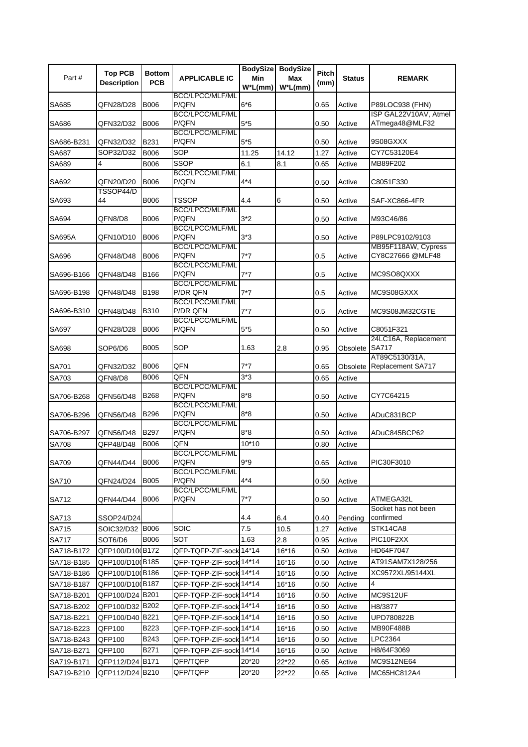|               | <b>Top PCB</b>         | <b>Bottom</b> |                                    | <b>BodySize</b>   | <b>BodySize</b>    | <b>Pitch</b> |                |                                              |
|---------------|------------------------|---------------|------------------------------------|-------------------|--------------------|--------------|----------------|----------------------------------------------|
| Part#         | <b>Description</b>     | <b>PCB</b>    | <b>APPLICABLE IC</b>               | Min<br>$W^*L(mm)$ | Max<br>$W^*L$ (mm) | (mm)         | <b>Status</b>  | <b>REMARK</b>                                |
|               |                        |               | <b>BCC/LPCC/MLF/ML</b>             |                   |                    |              |                |                                              |
| SA685         | QFN28/D28              | <b>B006</b>   | P/QFN                              | $6*6$             |                    | 0.65         | Active         | P89LOC938 (FHN)                              |
| SA686         | QFN32/D32              | <b>B006</b>   | BCC/LPCC/MLF/ML<br>P/QFN           | $5*5$             |                    | 0.50         | Active         | ISP GAL22V10AV, Atmel<br>ATmega48@MLF32      |
|               |                        |               | BCC/LPCC/MLF/ML                    |                   |                    |              |                |                                              |
| SA686-B231    | QFN32/D32              | B231          | P/QFN                              | $5*5$             |                    | 0.50         | Active         | 9S08GXXX                                     |
| SA687         | SOP32/D32              | B006          | SOP                                | 11.25             | 14.12              | 1.27         | Active         | CY7C53120E4                                  |
| SA689         | 4                      | B006          | SSOP                               | 6.1               | 8.1                | 0.65         | Active         | MB89F202                                     |
|               |                        |               | <b>BCC/LPCC/MLF/ML</b><br>P/QFN    | $4*4$             |                    |              |                | C8051F330                                    |
| SA692         | QFN20/D20<br>TSSOP44/D | <b>B006</b>   |                                    |                   |                    | 0.50         | Active         |                                              |
| SA693         | 44                     | <b>B006</b>   | <b>TSSOP</b>                       | 4.4               | 6                  | 0.50         | Active         | SAF-XC866-4FR                                |
|               |                        |               | BCC/LPCC/MLF/ML                    |                   |                    |              |                |                                              |
| SA694         | QFN8/D8                | <b>B006</b>   | P/QFN<br>BCC/LPCC/MLF/ML           | $3*2$             |                    | 0.50         | Active         | M93C46/86                                    |
| <b>SA695A</b> | QFN10/D10              | B006          | P/QFN                              | $3*3$             |                    | 0.50         | Active         | P89LPC9102/9103                              |
|               |                        |               | BCC/LPCC/MLF/ML                    |                   |                    |              |                | MB95F118AW, Cypress                          |
| SA696         | QFN48/D48              | <b>B006</b>   | P/QFN                              | $7*7$             |                    | 0.5          | Active         | CY8C27666 @MLF48                             |
| SA696-B166    | QFN48/D48              | B166          | BCC/LPCC/MLF/ML<br>P/QFN           | $7*7$             |                    | 0.5          | Active         | MC9SO8QXXX                                   |
|               |                        |               | BCC/LPCC/MLF/ML                    |                   |                    |              |                |                                              |
| SA696-B198    | QFN48/D48              | <b>B198</b>   | P/DR QFN                           | 7*7               |                    | 0.5          | Active         | MC9S08GXXX                                   |
|               |                        |               | BCC/LPCC/MLF/ML                    |                   |                    |              |                |                                              |
| SA696-B310    | QFN48/D48              | B310          | P/DR QFN<br><b>BCC/LPCC/MLF/ML</b> | $7*7$             |                    | 0.5          | Active         | MC9S08JM32CGTE                               |
| SA697         | QFN28/D28              | B006          | P/QFN                              | $5*5$             |                    | 0.50         | Active         | C8051F321                                    |
|               |                        |               |                                    |                   |                    |              |                | 24LC16A, Replacement                         |
| SA698         | SOP6/D6                | <b>B005</b>   | SOP                                | 1.63              | 2.8                | 0.95         | Obsolete SA717 |                                              |
| SA701         | QFN32/D32              | B006          | QFN                                | $7*7$             |                    | 0.65         |                | AT89C5130/31A,<br>Obsolete Replacement SA717 |
| SA703         | QFN8/D8                | B006          | QFN                                | $3*3$             |                    | 0.65         | Active         |                                              |
|               |                        |               | <b>BCC/LPCC/MLF/ML</b>             |                   |                    |              |                |                                              |
| SA706-B268    | QFN56/D48              | B268          | P/QFN                              | $8*8$             |                    | 0.50         | Active         | CY7C64215                                    |
| SA706-B296    | QFN56/D48              | <b>B296</b>   | <b>BCC/LPCC/MLF/ML</b><br>P/QFN    | $8*8$             |                    | 0.50         | Active         | ADuC831BCP                                   |
|               |                        |               | BCC/LPCC/MLF/ML                    |                   |                    |              |                |                                              |
| SA706-B297    | QFN56/D48              | B297          | P/QFN                              | $8*8$             |                    | 0.50         | Active         | ADuC845BCP62                                 |
| <b>SA708</b>  | QFP48/D48              | B006          | QFN                                | $10*10$           |                    | 0.80         | Active         |                                              |
|               |                        | B006          | BCC/LPCC/MLF/ML<br>P/QFN           | $9*9$             |                    |              |                | PIC30F3010                                   |
| SA709         | QFN44/D44              |               | <b>BCC/LPCC/MLF/ML</b>             |                   |                    | 0.65         | Active         |                                              |
| SA710         | QFN24/D24              | <b>B005</b>   | P/QFN                              | 4*4               |                    | 0.50         | Active         |                                              |
|               |                        |               | BCC/LPCC/MLF/ML                    |                   |                    |              |                |                                              |
| SA712         | QFN44/D44              | B006          | P/QFN                              | $7*7$             |                    | 0.50         | Active         | ATMEGA32L<br>Socket has not been             |
| SA713         | SSOP24/D24             |               |                                    | 4.4               | 6.4                | 0.40         | Pending        | confirmed                                    |
| SA715         | SOIC32/D32 B006        |               | SOIC                               | 7.5               | 10.5               | 1.27         | Active         | STK14CA8                                     |
| <b>SA717</b>  | SOT6/D6                | B006          | SOT                                | 1.63              | 2.8                | 0.95         | Active         | PIC10F2XX                                    |
| SA718-B172    | QFP100/D10(B172        |               | QFP-TQFP-ZIF-sock 14*14            |                   | 16*16              | 0.50         | Active         | HD64F7047                                    |
| SA718-B185    | QFP100/D10(B185        |               | QFP-TQFP-ZIF-sock 14*14            |                   | 16*16              | 0.50         | Active         | AT91SAM7X128/256                             |
| SA718-B186    | QFP100/D10(B186        |               | QFP-TQFP-ZIF-sock 14*14            |                   | 16*16              | 0.50         | Active         | XC9572XL/95144XL                             |
| SA718-B187    | QFP100/D10 B187        |               | QFP-TQFP-ZIF-sock 14*14            |                   | 16*16              | 0.50         | Active         | 4                                            |
| SA718-B201    | QFP100/D24 B201        |               | QFP-TQFP-ZIF-sock 14*14            |                   | 16*16              | 0.50         | Active         | MC9S12UF                                     |
| SA718-B202    | QFP100/D32 B202        |               | QFP-TQFP-ZIF-sock 14*14            |                   | 16*16              | 0.50         | Active         | H8/3877                                      |
| SA718-B221    | QFP100/D40 B221        |               | QFP-TQFP-ZIF-sock 14*14            |                   | 16*16              | 0.50         | Active         | UPD780822B                                   |
| SA718-B223    | QFP100                 | B223          | QFP-TQFP-ZIF-sock 14*14            |                   | 16*16              | 0.50         | Active         | MB90F488B                                    |
| SA718-B243    | QFP100                 | B243          | QFP-TQFP-ZIF-sock 14*14            |                   | 16*16              | 0.50         | Active         | LPC2364                                      |
| SA718-B271    | QFP100                 | B271          | QFP-TQFP-ZIF-sock 14*14            |                   | 16*16              | 0.50         | Active         | H8/64F3069                                   |
| SA719-B171    | QFP112/D24 B171        |               | QFP/TQFP                           | 20*20             | 22*22              | 0.65         | Active         | MC9S12NE64                                   |
| SA719-B210    | QFP112/D24 B210        |               | QFP/TQFP                           | 20*20             | 22*22              | 0.65         | Active         | MC65HC812A4                                  |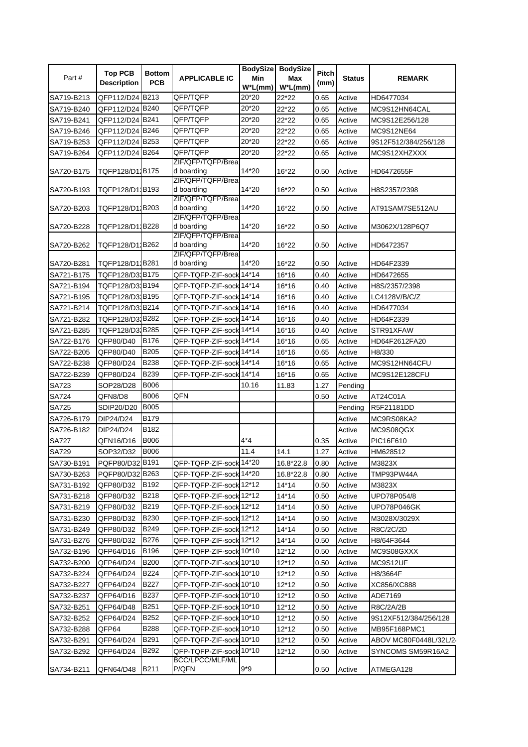|              | <b>Top PCB</b>     | <b>Bottom</b> |                                 | <b>BodySize</b> | <b>BodySize</b> | Pitch |               |                                    |
|--------------|--------------------|---------------|---------------------------------|-----------------|-----------------|-------|---------------|------------------------------------|
| Part#        | <b>Description</b> | <b>PCB</b>    | <b>APPLICABLE IC</b>            | Min             | Max             | (mm)  | <b>Status</b> | <b>REMARK</b>                      |
|              |                    |               |                                 | $W^*L(mm)$      | $W^*L(mm)$      |       |               |                                    |
| SA719-B213   | QFP112/D24 B213    |               | QFP/TQFP                        | 20*20           | 22*22           | 0.65  | Active        | HD6477034                          |
| SA719-B240   | QFP112/D24 B240    |               | QFP/TQFP                        | 20*20           | 22*22           | 0.65  | Active        | MC9S12HN64CAL                      |
| SA719-B241   | QFP112/D24 B241    |               | QFP/TQFP                        | 20*20           | 22*22           | 0.65  | Active        | MC9S12E256/128                     |
| SA719-B246   | QFP112/D24 B246    |               | QFP/TQFP                        | 20*20           | 22*22           | 0.65  | Active        | MC9S12NE64                         |
| SA719-B253   | QFP112/D24 B253    |               | QFP/TQFP                        | 20*20           | 22*22           | 0.65  | Active        | 9S12F512/384/256/128               |
| SA719-B264   | QFP112/D24 B264    |               | QFP/TQFP                        | 20*20           | 22*22           | 0.65  | Active        | MC9S12XHZXXX                       |
|              |                    |               | ZIF/QFP/TQFP/Brea               |                 |                 |       |               |                                    |
| SA720-B175   | TQFP128/D11B175    |               | d boarding<br>ZIF/QFP/TQFP/Brea | 14*20           | 16*22           | 0.50  | Active        | HD6472655F                         |
| SA720-B193   | TQFP128/D11B193    |               | d boarding                      | 14*20           | 16*22           | 0.50  | Active        | H8S2357/2398                       |
|              |                    |               | ZIF/QFP/TQFP/Brea               |                 |                 |       |               |                                    |
| SA720-B203   | TQFP128/D11B203    |               | d boarding                      | 14*20           | 16*22           | 0.50  | Active        | AT91SAM7SE512AU                    |
|              |                    |               | ZIF/QFP/TQFP/Brea               |                 |                 |       |               |                                    |
| SA720-B228   | TQFP128/D11B228    |               | d boarding<br>ZIF/QFP/TQFP/Brea | 14*20           | 16*22           | 0.50  | Active        | M3062X/128P6Q7                     |
| SA720-B262   | TQFP128/D11B262    |               | d boarding                      | 14*20           | 16*22           | 0.50  | Active        | HD6472357                          |
|              |                    |               | ZIF/QFP/TQFP/Brea               |                 |                 |       |               |                                    |
| SA720-B281   | TQFP128/D1 B281    |               | d boarding                      | 14*20           | 16*22           | 0.50  | Active        | HD64F2339                          |
| SA721-B175   | TQFP128/D31B175    |               | QFP-TQFP-ZIF-sock 14*14         |                 | 16*16           | 0.40  | Active        | HD6472655                          |
| SA721-B194   | TQFP128/D31B194    |               | QFP-TQFP-ZIF-sock 14*14         |                 | 16*16           | 0.40  | Active        | H8S/2357/2398                      |
| SA721-B195   | TQFP128/D31B195    |               | QFP-TQFP-ZIF-sock 14*14         |                 | 16*16           | 0.40  | Active        | LC4128V/B/C/Z                      |
| SA721-B214   | TQFP128/D31B214    |               | QFP-TQFP-ZIF-sock 14*14         |                 | 16*16           | 0.40  | Active        | HD6477034                          |
| SA721-B282   | TQFP128/D31B282    |               | QFP-TQFP-ZIF-sock 14*14         |                 | 16*16           | 0.40  | Active        | HD64F2339                          |
| SA721-B285   | TQFP128/D31B285    |               | QFP-TQFP-ZIF-sock 14*14         |                 | 16*16           | 0.40  | Active        | STR91XFAW                          |
| SA722-B176   | QFP80/D40          | B176          | QFP-TQFP-ZIF-sock 14*14         |                 | 16*16           | 0.65  | Active        | HD64F2612FA20                      |
| SA722-B205   | QFP80/D40          | B205          | QFP-TQFP-ZIF-sock 14*14         |                 | 16*16           | 0.65  | Active        | H8/330                             |
| SA722-B238   | QFP80/D24          | B238          | QFP-TQFP-ZIF-sock 14*14         |                 | 16*16           | 0.65  | Active        | MC9S12HN64CFU                      |
| SA722-B239   | QFP80/D24          | B239          | QFP-TQFP-ZIF-sock 14*14         |                 | 16*16           | 0.65  | Active        | MC9S12E128CFU                      |
| SA723        | SOP28/D28          | <b>B006</b>   |                                 | 10.16           | 11.83           | 1.27  | Pending       |                                    |
| <b>SA724</b> | QFN8/D8            | B006          | QFN                             |                 |                 | 0.50  | Active        | AT24C01A                           |
| <b>SA725</b> | SDIP20/D20         | <b>B005</b>   |                                 |                 |                 |       | Pending       | R5F21181DD                         |
| SA726-B179   | DIP24/D24          | B179          |                                 |                 |                 |       | Active        | MC9RS08KA2                         |
| SA726-B182   | DIP24/D24          | B182          |                                 |                 |                 |       | Active        | MC9S08QGX                          |
| <b>SA727</b> | QFN16/D16          | <b>B006</b>   |                                 | $4*4$           |                 | 0.35  | Active        | PIC16F610                          |
| SA729        | SOP32/D32          | <b>B006</b>   |                                 | 11.4            | 14.1            | 1.27  | Active        | HM628512                           |
| SA730-B191   | PQFP80/D32 B191    |               | QFP-TQFP-ZIF-sock 14*20         |                 | 16.8*22.8       | 0.80  | Active        | M3823X                             |
| SA730-B263   | PQFP80/D32 B263    |               | QFP-TQFP-ZIF-sock 14*20         |                 | 16.8*22.8       | 0.80  | Active        | TMP93PW44A                         |
| SA731-B192   | QFP80/D32          | B192          | QFP-TQFP-ZIF-sock 12*12         |                 | 14*14           | 0.50  | Active        | M3823X                             |
| SA731-B218   | QFP80/D32          | B218          | QFP-TQFP-ZIF-sock 12*12         |                 | 14*14           | 0.50  | Active        | UPD78P054/8                        |
| SA731-B219   | QFP80/D32          | B219          | QFP-TQFP-ZIF-sock 12*12         |                 | 14*14           | 0.50  | Active        | UPD78P046GK                        |
| SA731-B230   | QFP80/D32          | B230          | QFP-TQFP-ZIF-sock 12*12         |                 | 14*14           | 0.50  | Active        | M3028X/3029X                       |
| SA731-B249   | QFP80/D32          | B249          | QFP-TQFP-ZIF-sock 12*12         |                 | $14*14$         | 0.50  | Active        | R8C/2C/2D                          |
| SA731-B276   | QFP80/D32          | B276          | QFP-TQFP-ZIF-sock 12*12         |                 | $14*14$         | 0.50  | Active        | H8/64F3644                         |
| SA732-B196   | QFP64/D16          | B196          | QFP-TQFP-ZIF-sock 10*10         |                 | 12*12           | 0.50  | Active        | MC9S08GXXX                         |
| SA732-B200   | QFP64/D24          | B200          | QFP-TQFP-ZIF-sock 10*10         |                 | $12*12$         | 0.50  | Active        | MC9S12UF                           |
| SA732-B224   | QFP64/D24          | B224          | QFP-TQFP-ZIF-sock 10*10         |                 | $12*12$         | 0.50  | Active        | H8/3664F                           |
| SA732-B227   | QFP64/D24          | B227          | QFP-TQFP-ZIF-sock 10*10         |                 | $12*12$         | 0.50  | Active        | XC856/XC888                        |
| SA732-B237   | QFP64/D16          | B237          | QFP-TQFP-ZIF-sock 10*10         |                 | $12*12$         | 0.50  | Active        | ADE7169                            |
| SA732-B251   | QFP64/D48          | B251          | QFP-TQFP-ZIF-sock 10*10         |                 | 12*12           | 0.50  | Active        | R8C/2A/2B                          |
| SA732-B252   | QFP64/D24          | B252          | QFP-TQFP-ZIF-sock 10*10         |                 | 12*12           | 0.50  | Active        | 9S12XF512/384/256/128              |
| SA732-B288   | QFP64              | B288          | QFP-TQFP-ZIF-sock 10*10         |                 | 12*12           | 0.50  | Active        | MB95F168PMC1                       |
| SA732-B291   | QFP64/D24          | B291          | QFP-TQFP-ZIF-sock 10*10         |                 | $12*12$         | 0.50  | Active        | ABOV MC80F0448L/32L/2 <sub>'</sub> |
| SA732-B292   | QFP64/D24          | B292          | QFP-TQFP-ZIF-sock 10*10         |                 | $12*12$         | 0.50  | Active        | SYNCOMS SM59R16A2                  |
|              |                    |               | BCC/LPCC/MLF/ML                 |                 |                 |       |               |                                    |
| SA734-B211   | QFN64/D48          | B211          | P/QFN                           | $9*9$           |                 | 0.50  | Active        | ATMEGA128                          |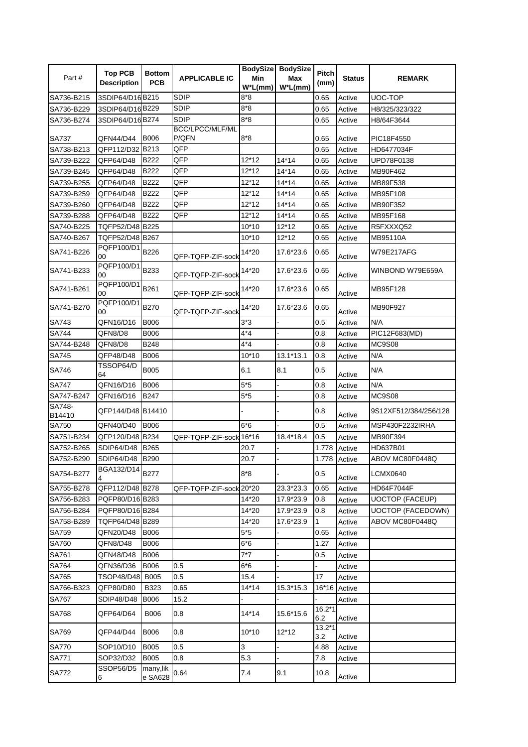|              | <b>Top PCB</b>         | <b>Bottom</b>            |                          |            | BodySize BodySize | Pitch           |               |                          |
|--------------|------------------------|--------------------------|--------------------------|------------|-------------------|-----------------|---------------|--------------------------|
| Part#        | <b>Description</b>     | <b>PCB</b>               | <b>APPLICABLE IC</b>     | Min        | Max               | (mm)            | <b>Status</b> | <b>REMARK</b>            |
|              |                        |                          |                          | $W^*L(mm)$ | $W^*L$ (mm)       |                 |               |                          |
| SA736-B215   | 3SDIP64/D16B215        |                          | <b>SDIP</b>              | 8*8        |                   | 0.65            | Active        | UOC-TOP                  |
| SA736-B229   | 3SDIP64/D16B229        |                          | SDIP                     | $8*8$      |                   | 0.65            | Active        | H8/325/323/322           |
| SA736-B274   | 3SDIP64/D16B274        |                          | <b>SDIP</b>              | $8*8$      |                   | 0.65            | Active        | H8/64F3644               |
| SA737        | QFN44/D44              | <b>B006</b>              | BCC/LPCC/MLF/ML<br>P/QFN | $8*8$      |                   | 0.65            | Active        | PIC18F4550               |
| SA738-B213   | QFP112/D32 B213        |                          | QFP                      |            |                   | 0.65            | Active        | HD6477034F               |
| SA739-B222   | QFP64/D48              | B222                     | QFP                      | 12*12      | $14*14$           | 0.65            | Active        | UPD78F0138               |
| SA739-B245   | QFP64/D48              | B222                     | QFP                      | 12*12      | $14*14$           | 0.65            | Active        | MB90F462                 |
| SA739-B255   | QFP64/D48              | B222                     | QFP                      | 12*12      | $14*14$           | 0.65            | Active        | MB89F538                 |
| SA739-B259   | QFP64/D48              | B222                     | QFP                      | 12*12      | 14*14             | 0.65            | Active        | MB95F108                 |
| SA739-B260   | QFP64/D48              | B222                     | QFP                      | 12*12      | $14*14$           | 0.65            | Active        | MB90F352                 |
| SA739-B288   | QFP64/D48              | <b>B222</b>              | QFP                      | $12*12$    | $14*14$           | 0.65            | Active        | MB95F168                 |
| SA740-B225   | TQFP52/D48 B225        |                          |                          | 10*10      | $12*12$           | 0.65            | Active        | R5FXXXQ52                |
| SA740-B267   | TQFP52/D48 B267        |                          |                          | 10*10      | 12*12             | 0.65            | Active        | MB95110A                 |
|              | PQFP100/D1             |                          |                          |            |                   |                 |               |                          |
| SA741-B226   | 00<br>PQFP100/D1       | B226                     | QFP-TQFP-ZIF-sock        | 14*20      | 17.6*23.6         | 0.65            | Active        | W79E217AFG               |
| SA741-B233   | 00                     | B233                     | QFP-TQFP-ZIF-sock        | 14*20      | 17.6*23.6         | 0.65            | Active        | WINBOND W79E659A         |
| SA741-B261   | PQFP100/D1<br>00       | B261                     | QFP-TQFP-ZIF-sock        | 14*20      | 17.6*23.6         | 0.65            | Active        | MB95F128                 |
| SA741-B270   | PQFP100/D1<br>00       | B270                     | QFP-TQFP-ZIF-sock        | 14*20      | 17.6*23.6         | 0.65            | Active        | MB90F927                 |
| <b>SA743</b> | QFN16/D16              | <b>B006</b>              |                          | $3*3$      |                   | 0.5             | Active        | N/A                      |
| <b>SA744</b> | QFN8/D8                | <b>B006</b>              |                          | $4*4$      |                   | 0.8             | Active        | PIC12F683(MD)            |
| SA744-B248   | QFN8/D8                | <b>B248</b>              |                          | 4*4        |                   | 0.8             | Active        | <b>MC9S08</b>            |
| <b>SA745</b> | QFP48/D48              | <b>B006</b>              |                          | 10*10      | 13.1*13.1         | 0.8             | Active        | N/A                      |
| SA746        | TSSOP64/D<br>64        | <b>B005</b>              |                          | 6.1        | 8.1               | 0.5             | Active        | N/A                      |
| SA747        | QFN16/D16              | <b>B006</b>              |                          | $5*5$      | $\overline{a}$    | 0.8             | Active        | N/A                      |
| SA747-B247   | QFN16/D16              | B247                     |                          | $5*5$      |                   | 0.8             | Active        | <b>MC9S08</b>            |
| SA748-       |                        |                          |                          |            |                   |                 |               |                          |
| B14410       | QFP144/D48 B14410      |                          |                          |            |                   | 0.8             | Active        | 9S12XF512/384/256/128    |
| <b>SA750</b> | QFN40/D40              | <b>B006</b>              |                          | $6*6$      |                   | 0.5             | Active        | MSP430F2232IRHA          |
| SA751-B234   | QFP120/D48 B234        |                          | QFP-TQFP-ZIF-sock 16*16  |            | 18.4*18.4         | 0.5             | Active        | MB90F394                 |
| SA752-B265   | SDIP64/D48             | <b>B265</b>              |                          | 20.7       |                   | 1.778           | Active        | HD637B01                 |
| SA752-B290   | SDIP64/D48 B290        |                          |                          | 20.7       |                   | 1.778 Active    |               | ABOV MC80F0448Q          |
| SA754-B277   | BGA132/D14             | <b>B277</b>              |                          | $8*8$      |                   | 0.5             | Active        | <b>LCMX0640</b>          |
| SA755-B278   | QFP112/D48 B278        |                          | QFP-TQFP-ZIF-sock 20*20  |            | 23.3*23.3         | 0.65            | Active        | HD64F7044F               |
| SA756-B283   | PQFP80/D16 B283        |                          |                          | 14*20      | 17.9*23.9         | 0.8             | Active        | <b>UOCTOP (FACEUP)</b>   |
| SA756-B284   | PQFP80/D16 B284        |                          |                          | 14*20      | 17.9*23.9         | 0.8             | Active        | <b>UOCTOP (FACEDOWN)</b> |
| SA758-B289   | TQFP64/D48 B289        |                          |                          | 14*20      | 17.6*23.9         | 1               | Active        | ABOV MC80F0448Q          |
| SA759        | QFN20/D48              | <b>B006</b>              |                          | $5*5$      |                   | 0.65            | Active        |                          |
| SA760        | QFN8/D48               | <b>B006</b>              |                          | 6*6        |                   | 1.27            | Active        |                          |
| SA761        | QFN48/D48              | <b>B006</b>              |                          | $7^*7$     |                   | 0.5             | Active        |                          |
| SA764        | QFN36/D36              | <b>B006</b>              | 0.5                      | $6*6$      |                   |                 | Active        |                          |
| SA765        | <b>TSOP48/D48</b>      | <b>B005</b>              | 0.5                      | 15.4       |                   | 17              | Active        |                          |
| SA766-B323   | QFP80/D80              | <b>B323</b>              | 0.65                     | $14*14$    | 15.3*15.3         | 16*16 Active    |               |                          |
| <b>SA767</b> | SDIP48/D48             | <b>B006</b>              | 15.2                     |            |                   |                 | Active        |                          |
| <b>SA768</b> | QFP64/D64              | <b>B006</b>              | 0.8                      | 14*14      | 15.6*15.6         | $16.2*1$        |               |                          |
| SA769        | QFP44/D44              | <b>B006</b>              | 0.8                      | 10*10      | $12*12$           | 6.2<br>$13.2*1$ | Active        |                          |
|              |                        |                          |                          |            |                   | 3.2             | Active        |                          |
| <b>SA770</b> | SOP10/D10              | <b>B005</b>              | 0.5                      | 3          |                   | 4.88            | Active        |                          |
| SA771        | SOP32/D32<br>SSOP56/D5 | <b>B005</b><br>many, lik | 0.8                      | 5.3        |                   | 7.8             | Active        |                          |
| <b>SA772</b> | 6                      | e SA628                  | 0.64                     | 7.4        | 9.1               | 10.8            | Active        |                          |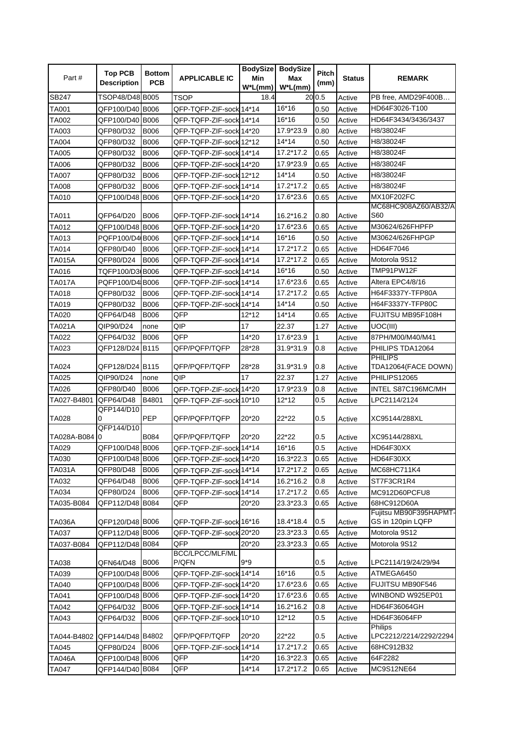|                     | <b>Top PCB</b>                     | <b>Bottom</b> |                         |            | BodySize BodySize | Pitch  |                  |                                             |
|---------------------|------------------------------------|---------------|-------------------------|------------|-------------------|--------|------------------|---------------------------------------------|
| Part #              | <b>Description</b>                 | <b>PCB</b>    | <b>APPLICABLE IC</b>    | Min        | Max               | (mm)   | <b>Status</b>    | <b>REMARK</b>                               |
|                     |                                    |               |                         | $W^*L(mm)$ | $W^*L(mm)$        |        |                  |                                             |
| SB247               | TSOP48/D48 B005                    |               | TSOP                    | 18.4       |                   | 20 0.5 | Active           | PB free. AMD29F400B                         |
| TA001               | QFP100/D40 B006                    |               | QFP-TQFP-ZIF-sock 14*14 |            | 16*16             | 0.50   | Active           | HD64F3026-T100                              |
| <b>TA002</b>        | QFP100/D40 B006                    |               | QFP-TQFP-ZIF-sock 14*14 |            | 16*16             | 0.50   | Active           | HD64F3434/3436/3437                         |
| TA003               | QFP80/D32                          | <b>B006</b>   | QFP-TQFP-ZIF-sock 14*20 |            | 17.9*23.9         | 0.80   | Active           | H8/38024F                                   |
| <b>TA004</b>        | QFP80/D32                          | B006          | QFP-TQFP-ZIF-sock 12*12 |            | $14*14$           | 0.50   | Active           | H8/38024F                                   |
| <b>TA005</b>        | QFP80/D32                          | <b>B006</b>   | QFP-TQFP-ZIF-sock 14*14 |            | 17.2*17.2         | 0.65   | Active           | H8/38024F                                   |
| TA006               | QFP80/D32                          | <b>B006</b>   | QFP-TQFP-ZIF-sock 14*20 |            | 17.9*23.9         | 0.65   | Active           | H8/38024F                                   |
| <b>TA007</b>        | QFP80/D32                          | B006          | QFP-TQFP-ZIF-sock 12*12 |            | 14*14             | 0.50   | Active           | H8/38024F                                   |
| <b>TA008</b>        | QFP80/D32                          | <b>B006</b>   | QFP-TQFP-ZIF-sock 14*14 |            | 17.2*17.2         | 0.65   | Active           | H8/38024F                                   |
| TA010               | QFP100/D48 B006                    |               | QFP-TQFP-ZIF-sock 14*20 |            | 17.6*23.6         | 0.65   | Active           | MX10F202FC                                  |
|                     |                                    |               |                         |            |                   |        |                  | MC68HC908AZ60/AB32/A                        |
| TA011               | QFP64/D20                          | <b>B006</b>   | QFP-TQFP-ZIF-sock 14*14 |            | 16.2*16.2         | 0.80   | Active           | <b>S60</b>                                  |
| TA012               | QFP100/D48 B006                    |               | QFP-TQFP-ZIF-sock 14*20 |            | 17.6*23.6         | 0.65   | Active           | M30624/626FHPFP                             |
| TA013               | PQFP100/D4 B006                    |               | QFP-TQFP-ZIF-sock 14*14 |            | 16*16             | 0.50   | Active           | M30624/626FHPGP                             |
| TA014               | QFP80/D40                          | <b>B006</b>   | QFP-TQFP-ZIF-sock 14*14 |            | 17.2*17.2         | 0.65   | Active           | HD64F7046                                   |
| <b>TA015A</b>       | QFP80/D24                          | <b>B006</b>   | QFP-TQFP-ZIF-sock 14*14 |            | 17.2*17.2         | 0.65   | Active           | Motorola 9S12                               |
| TA016               | TQFP100/D3(B006                    |               | QFP-TQFP-ZIF-sock 14*14 |            | 16*16             | 0.50   | Active           | TMP91PW12F                                  |
| <b>TA017A</b>       | PQFP100/D4 B006                    |               | QFP-TQFP-ZIF-sock114*14 |            | 17.6*23.6         | 0.65   | Active           | Altera EPC4/8/16                            |
| <b>TA018</b>        | QFP80/D32                          | <b>B006</b>   | QFP-TQFP-ZIF-sock 14*14 |            | 17.2*17.2         | 0.65   | Active           | H64F3337Y-TFP80A                            |
| TA019               | QFP80/D32                          | <b>B006</b>   | QFP-TQFP-ZIF-sock 14*14 |            | 14*14             | 0.50   | Active           | H64F3337Y-TFP80C                            |
| <b>TA020</b>        | QFP64/D48                          | <b>B006</b>   | QFP                     | $12*12$    | 14*14             | 0.65   | Active           | FUJITSU MB95F108H                           |
| TA021A              | QIP90/D24                          | none          | QIP                     | 17         | 22.37             | 1.27   | Active           | UOC(III)                                    |
| TA022               | QFP64/D32                          | <b>B006</b>   | QFP                     | 14*20      | 17.6*23.9         | 1      | Active           | 87PH/M00/M40/M41                            |
| TA023               | QFP128/D24 B115                    |               | QFP/PQFP/TQFP           | 28*28      | 31.9*31.9         | 0.8    | Active           | PHILIPS TDA12064                            |
|                     |                                    |               |                         |            |                   |        |                  | <b>PHILIPS</b>                              |
| TA024               | QFP128/D24 B115                    |               | QFP/PQFP/TQFP           | 28*28      | 31.9*31.9         | 0.8    | Active           | TDA12064(FACE DOWN)                         |
| <b>TA025</b>        | QIP90/D24                          | none          | QIP                     | 17         | 22.37             | 1.27   | Active           | PHILIPS12065                                |
| TA026               | QFP80/D40                          | <b>B006</b>   | QFP-TQFP-ZIF-sock 14*20 |            | 17.9*23.9         | 0.8    | Active           | INTEL S87C196MC/MH                          |
| TA027-B4801         | QFP64/D48                          | B4801         | QFP-TQFP-ZIF-sock 10*10 |            | 12*12             | 0.5    | Active           | LPC2114/2124                                |
|                     | QFP144/D10                         |               |                         |            |                   |        |                  |                                             |
| <b>TA028</b>        | 0                                  | PEP           | QFP/PQFP/TQFP           | 20*20      | 22*22             | 0.5    | Active           | XC95144/288XL                               |
|                     | QFP144/D10                         |               |                         |            |                   |        |                  |                                             |
| TA028A-B084 0       |                                    | B084          | QFP/PQFP/TQFP           | 20*20      | 22*22             | 0.5    | Active           | XC95144/288XL                               |
| TA029               | QFP100/D48 B006                    |               | QFP-TQFP-ZIF-sock 14*14 |            | 16*16             | 0.5    | Active           | HD64F30XX                                   |
| TA030               | QFP100/D48 B006                    |               | QFP-TQFP-ZIF-sock 14*20 |            | 16.3*22.3         | 0.65   | Active           | HD64F30XX                                   |
| <b>TA031A</b>       | QFP80/D48                          | <b>B006</b>   | QFP-TQFP-ZIF-sock 14*14 |            | 17.2*17.2         | 0.65   | Active           | MC68HC711K4                                 |
| TA032               | QFP64/D48                          | <b>B006</b>   | QFP-TQFP-ZIF-sock 14*14 |            | 16.2*16.2         | 0.8    | Active           | ST7F3CR1R4                                  |
| TA034               | QFP80/D24                          | <b>B006</b>   | QFP-TQFP-ZIF-sock 14*14 |            | 17.2*17.2         | 0.65   | Active           | MC912D60PCFU8                               |
| TA035-B084          | QFP112/D48 B084                    |               | QFP                     | 20*20      | 23.3*23.3         | 0.65   | Active           | 68HC912D60A                                 |
|                     |                                    |               | QFP-TQFP-ZIF-sock 16*16 |            | 18.4*18.4         | 0.5    |                  | Fujitsu MB90F395HAPMT-<br>GS in 120pin LQFP |
| <b>TA036A</b>       | QFP120/D48 B006<br>QFP112/D48 B006 |               | QFP-TQFP-ZIF-sock 20*20 |            | 23.3*23.3         | 0.65   | Active<br>Active | Motorola 9S12                               |
| TA037<br>TA037-B084 | QFP112/D48 B084                    |               | QFP                     | 20*20      | 23.3*23.3         | 0.65   |                  | Motorola 9S12                               |
|                     |                                    |               | BCC/LPCC/MLF/ML         |            |                   |        | Active           |                                             |
| TA038               | QFN64/D48                          | <b>B006</b>   | P/QFN                   | $9*9$      |                   | 0.5    | Active           | LPC2114/19/24/29/94                         |
| TA039               | QFP100/D48 B006                    |               | QFP-TQFP-ZIF-sock 14*14 |            | 16*16             | 0.5    | Active           | ATMEGA6450                                  |
| TA040               | QFP100/D48 B006                    |               | QFP-TQFP-ZIF-sock 14*20 |            | 17.6*23.6         | 0.65   | Active           | FUJITSU MB90F546                            |
| TA041               | QFP100/D48 B006                    |               | QFP-TQFP-ZIF-sock 14*20 |            | 17.6*23.6         | 0.65   | Active           | WINBOND W925EP01                            |
| TA042               | QFP64/D32                          | B006          | QFP-TQFP-ZIF-sock 14*14 |            | 16.2*16.2         | 0.8    | Active           | HD64F36064GH                                |
| TA043               | QFP64/D32                          | B006          | QFP-TQFP-ZIF-sock 10*10 |            | 12*12             | 0.5    | Active           | HD64F36064FP                                |
|                     |                                    |               |                         |            |                   |        |                  | Philips                                     |
| TA044-B4802         | QFP144/D48 B4802                   |               | QFP/PQFP/TQFP           | 20*20      | 22*22             | 0.5    | Active           | LPC2212/2214/2292/2294                      |
| TA045               | QFP80/D24                          | <b>B006</b>   | QFP-TQFP-ZIF-sock 14*14 |            | 17.2*17.2         | 0.65   | Active           | 68HC912B32                                  |
| <b>TA046A</b>       | QFP100/D48 B006                    |               | QFP                     | 14*20      | 16.3*22.3         | 0.65   | Active           | 64F2282                                     |
| TA047               | QFP144/D40 B084                    |               | QFP                     | $14*14$    | 17.2*17.2         | 0.65   | Active           | MC9S12NE64                                  |